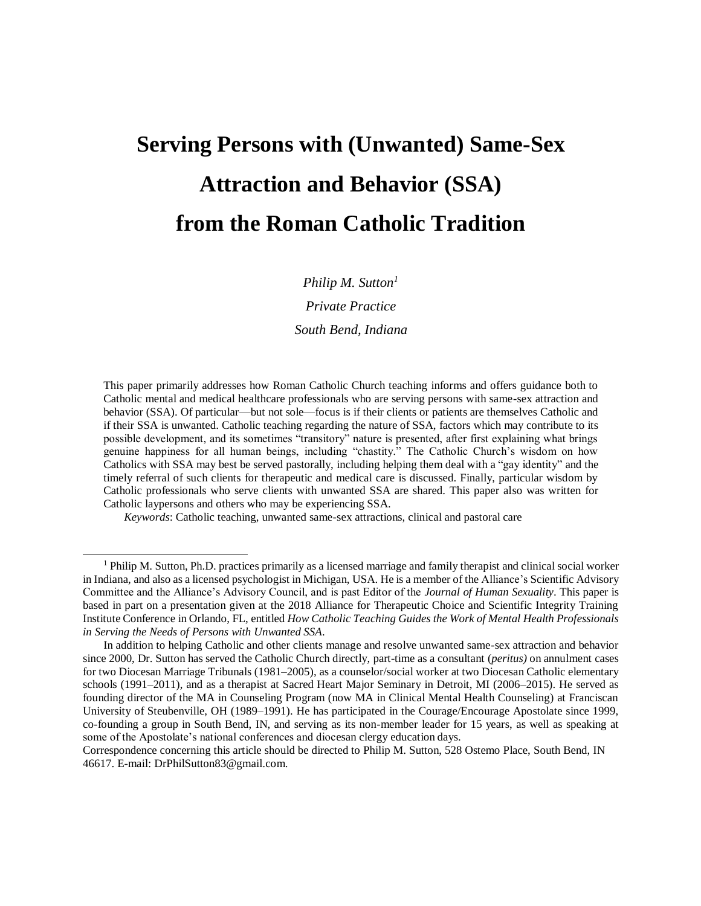# **Serving Persons with (Unwanted) Same-Sex Attraction and Behavior (SSA) from the Roman Catholic Tradition**

*Philip M. Sutton<sup>1</sup> Private Practice South Bend, Indiana*

This paper primarily addresses how Roman Catholic Church teaching informs and offers guidance both to Catholic mental and medical healthcare professionals who are serving persons with same-sex attraction and behavior (SSA). Of particular—but not sole—focus is if their clients or patients are themselves Catholic and if their SSA is unwanted. Catholic teaching regarding the nature of SSA, factors which may contribute to its possible development, and its sometimes "transitory" nature is presented, after first explaining what brings genuine happiness for all human beings, including "chastity." The Catholic Church's wisdom on how Catholics with SSA may best be served pastorally, including helping them deal with a "gay identity" and the timely referral of such clients for therapeutic and medical care is discussed. Finally, particular wisdom by Catholic professionals who serve clients with unwanted SSA are shared. This paper also was written for Catholic laypersons and others who may be experiencing SSA.

*Keywords*: Catholic teaching, unwanted same-sex attractions, clinical and pastoral care

Correspondence concerning this article should be directed to Philip M. Sutton, 528 Ostemo Place, South Bend, IN 46617. E-mail: [DrPhilSutton83@gmail.com.](mailto:DrPhilSutton83@gmail.com)

<sup>1</sup> Philip M. Sutton, Ph.D. practices primarily as a licensed marriage and family therapist and clinical social worker in Indiana, and also as a licensed psychologist in Michigan, USA. He is a member of the Alliance's Scientific Advisory Committee and the Alliance's Advisory Council, and is past Editor of the *Journal of Human Sexuality*. This paper is based in part on a presentation given at the 2018 Alliance for Therapeutic Choice and Scientific Integrity Training Institute Conference in Orlando, FL, entitled *How Catholic Teaching Guides the Work of Mental Health Professionals in Serving the Needs of Persons with Unwanted SSA*.

In addition to helping Catholic and other clients manage and resolve unwanted same-sex attraction and behavior since 2000, Dr. Sutton has served the Catholic Church directly, part-time as a consultant (*peritus)* on annulment cases for two Diocesan Marriage Tribunals (1981–2005), as a counselor/social worker at two Diocesan Catholic elementary schools (1991–2011), and as a therapist at Sacred Heart Major Seminary in Detroit, MI (2006–2015). He served as founding director of the MA in Counseling Program (now MA in Clinical Mental Health Counseling) at Franciscan University of Steubenville, OH (1989–1991). He has participated in the Courage/Encourage Apostolate since 1999, co-founding a group in South Bend, IN, and serving as its non-member leader for 15 years, as well as speaking at some of the Apostolate's national conferences and diocesan clergy education days.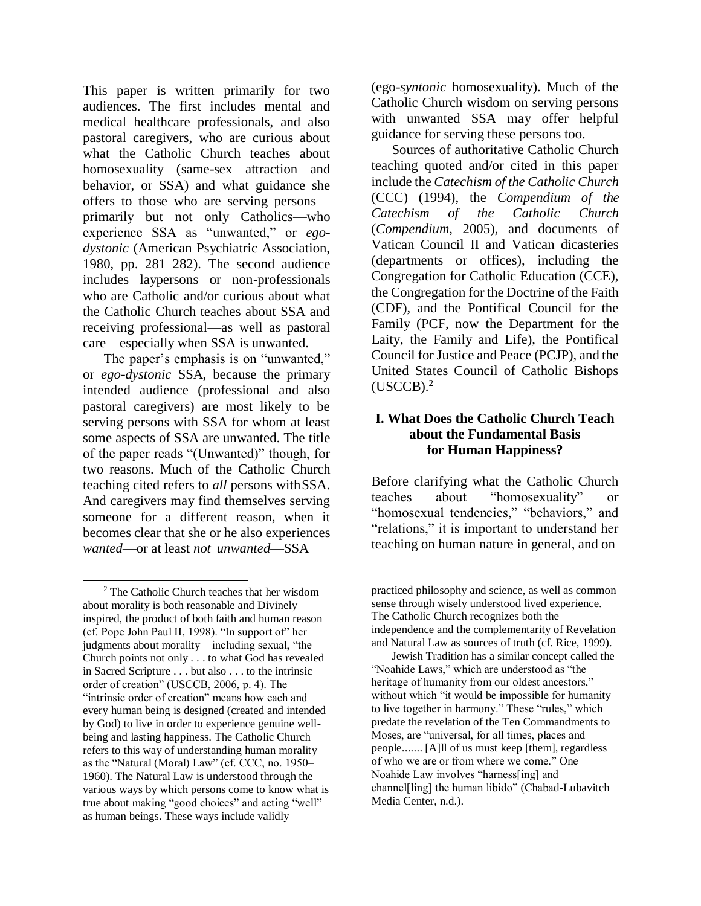This paper is written primarily for two audiences. The first includes mental and medical healthcare professionals, and also pastoral caregivers, who are curious about what the Catholic Church teaches about homosexuality (same-sex attraction and behavior, or SSA) and what guidance she offers to those who are serving persons primarily but not only Catholics—who experience SSA as "unwanted," or *egodystonic* (American Psychiatric Association, 1980, pp. 281–282). The second audience includes laypersons or non-professionals who are Catholic and/or curious about what the Catholic Church teaches about SSA and receiving professional—as well as pastoral care—especially when SSA is unwanted.

The paper's emphasis is on "unwanted," or *ego-dystonic* SSA, because the primary intended audience (professional and also pastoral caregivers) are most likely to be serving persons with SSA for whom at least some aspects of SSA are unwanted. The title of the paper reads "(Unwanted)" though, for two reasons. Much of the Catholic Church teaching cited refers to *all* persons withSSA. And caregivers may find themselves serving someone for a different reason, when it becomes clear that she or he also experiences *wanted*—or at least *not unwanted*—SSA

(ego-*syntonic* homosexuality). Much of the Catholic Church wisdom on serving persons with unwanted SSA may offer helpful guidance for serving these persons too.

Sources of authoritative Catholic Church teaching quoted and/or cited in this paper include the *Catechism of the Catholic Church*  (CCC) (1994), the *Compendium of the Catechism of the Catholic Church*  (*Compendium*, 2005), and documents of Vatican Council II and Vatican dicasteries (departments or offices), including the Congregation for Catholic Education (CCE), the Congregation for the Doctrine of the Faith (CDF), and the Pontifical Council for the Family (PCF, now the Department for the Laity, the Family and Life), the Pontifical Council for Justice and Peace (PCJP), and the United States Council of Catholic Bishops  $(USCCB).<sup>2</sup>$ 

# **I. What Does the Catholic Church Teach about the Fundamental Basis for Human Happiness?**

Before clarifying what the Catholic Church teaches about "homosexuality" or "homosexual tendencies," "behaviors," and "relations," it is important to understand her teaching on human nature in general, and on

<sup>2</sup> The Catholic Church teaches that her wisdom about morality is both reasonable and Divinely inspired, the product of both faith and human reason (cf. Pope John Paul II, 1998). "In support of" her judgments about morality—including sexual, "the Church points not only . . . to what God has revealed in Sacred Scripture . . . but also . . . to the intrinsic order of creation" (USCCB, 2006, p. 4). The "intrinsic order of creation" means how each and every human being is designed (created and intended by God) to live in order to experience genuine wellbeing and lasting happiness. The Catholic Church refers to this way of understanding human morality as the "Natural (Moral) Law" (cf. CCC, no. 1950– 1960). The Natural Law is understood through the various ways by which persons come to know what is true about making "good choices" and acting "well" as human beings. These ways include validly

practiced philosophy and science, as well as common sense through wisely understood lived experience. The Catholic Church recognizes both the independence and the complementarity of Revelation and Natural Law as sources of truth (cf. Rice, 1999).

Jewish Tradition has a similar concept called the "Noahide Laws," which are understood as "the heritage of humanity from our oldest ancestors," without which "it would be impossible for humanity to live together in harmony." These "rules," which predate the revelation of the Ten Commandments to Moses, are "universal, for all times, places and people....... [A]ll of us must keep [them], regardless of who we are or from where we come." One Noahide Law involves "harness[ing] and channel[ling] the human libido" (Chabad-Lubavitch Media Center, n.d.).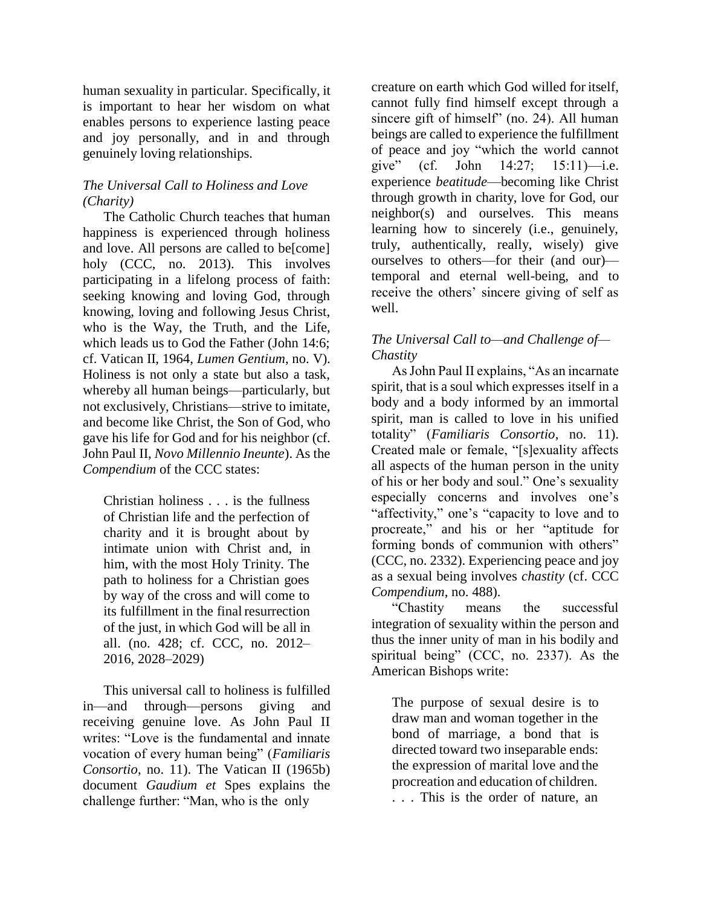human sexuality in particular. Specifically, it is important to hear her wisdom on what enables persons to experience lasting peace and joy personally, and in and through genuinely loving relationships.

# *The Universal Call to Holiness and Love (Charity)*

The Catholic Church teaches that human happiness is experienced through holiness and love. All persons are called to be[come] holy (CCC, no. 2013). This involves participating in a lifelong process of faith: seeking knowing and loving God, through knowing, loving and following Jesus Christ, who is the Way, the Truth, and the Life, which leads us to God the Father (John 14:6; cf. Vatican II, 1964, *Lumen Gentium*, no. V). Holiness is not only a state but also a task, whereby all human beings—particularly, but not exclusively, Christians—strive to imitate, and become like Christ, the Son of God, who gave his life for God and for his neighbor (cf. John Paul II, *Novo Millennio Ineunte*). As the *Compendium* of the CCC states:

Christian holiness . . . is the fullness of Christian life and the perfection of charity and it is brought about by intimate union with Christ and, in him, with the most Holy Trinity. The path to holiness for a Christian goes by way of the cross and will come to its fulfillment in the final resurrection of the just, in which God will be all in all. (no. 428; cf. CCC, no. 2012– 2016, 2028–2029)

This universal call to holiness is fulfilled in—and through—persons giving and receiving genuine love. As John Paul II writes: "Love is the fundamental and innate vocation of every human being" (*Familiaris Consortio*, no. 11). The Vatican II (1965b) document *Gaudium et* Spes explains the challenge further: "Man, who is the only

creature on earth which God willed for itself, cannot fully find himself except through a sincere gift of himself" (no. 24). All human beings are called to experience the fulfillment of peace and joy "which the world cannot give" (cf. John 14:27; 15:11)—i.e. experience *beatitude*—becoming like Christ through growth in charity, love for God, our neighbor(s) and ourselves. This means learning how to sincerely (i.e., genuinely, truly, authentically, really, wisely) give ourselves to others—for their (and our) temporal and eternal well-being, and to receive the others' sincere giving of self as well.

## *The Universal Call to—and Challenge of— Chastity*

As John Paul II explains, "As an incarnate spirit, that is a soul which expresses itself in a body and a body informed by an immortal spirit, man is called to love in his unified totality" (*Familiaris Consortio*, no. 11). Created male or female, "[s]exuality affects all aspects of the human person in the unity of his or her body and soul." One's sexuality especially concerns and involves one's "affectivity," one's "capacity to love and to procreate," and his or her "aptitude for forming bonds of communion with others" (CCC, no. 2332). Experiencing peace and joy as a sexual being involves *chastity* (cf. CCC *Compendium*, no. 488).

"Chastity means the successful integration of sexuality within the person and thus the inner unity of man in his bodily and spiritual being" (CCC, no. 2337). As the American Bishops write:

The purpose of sexual desire is to draw man and woman together in the bond of marriage, a bond that is directed toward two inseparable ends: the expression of marital love and the procreation and education of children. . . . This is the order of nature, an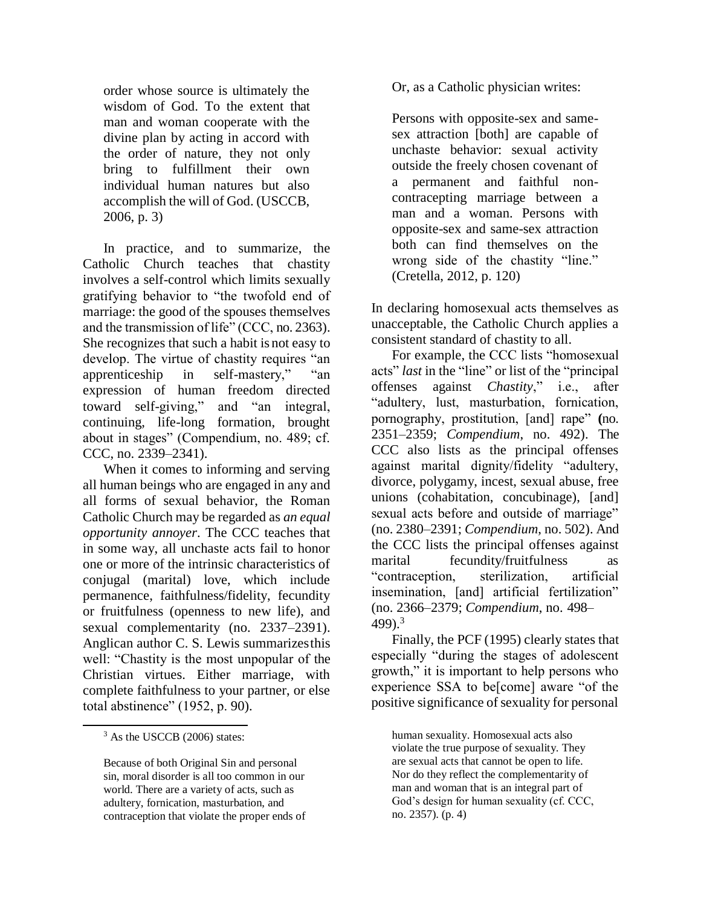order whose source is ultimately the wisdom of God. To the extent that man and woman cooperate with the divine plan by acting in accord with the order of nature, they not only bring to fulfillment their own individual human natures but also accomplish the will of God. (USCCB, 2006, p. 3)

In practice, and to summarize, the Catholic Church teaches that chastity involves a self-control which limits sexually gratifying behavior to "the twofold end of marriage: the good of the spouses themselves and the transmission of life" (CCC, no. 2363). She recognizes that such a habit is not easy to develop. The virtue of chastity requires "an apprenticeship in self-mastery," "an expression of human freedom directed toward self-giving," and "an integral, continuing, life-long formation, brought about in stages" (Compendium, no. 489; cf. CCC, no. 2339–2341).

When it comes to informing and serving all human beings who are engaged in any and all forms of sexual behavior, the Roman Catholic Church may be regarded as *an equal opportunity annoyer*. The CCC teaches that in some way, all unchaste acts fail to honor one or more of the intrinsic characteristics of conjugal (marital) love, which include permanence, faithfulness/fidelity, fecundity or fruitfulness (openness to new life), and sexual complementarity (no. 2337–2391). Anglican author C. S. Lewis summarizesthis well: "Chastity is the most unpopular of the Christian virtues. Either marriage, with complete faithfulness to your partner, or else total abstinence" (1952, p. 90).

Or, as a Catholic physician writes:

Persons with opposite-sex and samesex attraction [both] are capable of unchaste behavior: sexual activity outside the freely chosen covenant of a permanent and faithful noncontracepting marriage between a man and a woman. Persons with opposite-sex and same-sex attraction both can find themselves on the wrong side of the chastity "line." (Cretella, 2012, p. 120)

In declaring homosexual acts themselves as unacceptable, the Catholic Church applies a consistent standard of chastity to all.

For example, the CCC lists "homosexual acts" *last* in the "line" or list of the "principal offenses against *Chastity*," i.e., after "adultery, lust, masturbation, fornication, pornography, prostitution, [and] rape" **(**no. 2351–2359; *Compendium*, no. 492). The CCC also lists as the principal offenses against marital dignity/fidelity "adultery, divorce, polygamy, incest, sexual abuse, free unions (cohabitation, concubinage), [and] sexual acts before and outside of marriage" (no. 2380–2391; *Compendium*, no. 502). And the CCC lists the principal offenses against marital fecundity/fruitfulness as "contraception, sterilization, artificial insemination, [and] artificial fertilization" (no. 2366–2379; *Compendium*, no. 498– 499 $3<sup>3</sup>$ 

Finally, the PCF (1995) clearly states that especially "during the stages of adolescent growth," it is important to help persons who experience SSA to be[come] aware "of the positive significance of sexuality for personal

human sexuality. Homosexual acts also violate the true purpose of sexuality. They are sexual acts that cannot be open to life. Nor do they reflect the complementarity of man and woman that is an integral part of God's design for human sexuality (cf. CCC, no. 2357). (p. 4)

<sup>&</sup>lt;sup>3</sup> As the USCCB (2006) states:

Because of both Original Sin and personal sin, moral disorder is all too common in our world. There are a variety of acts, such as adultery, fornication, masturbation, and contraception that violate the proper ends of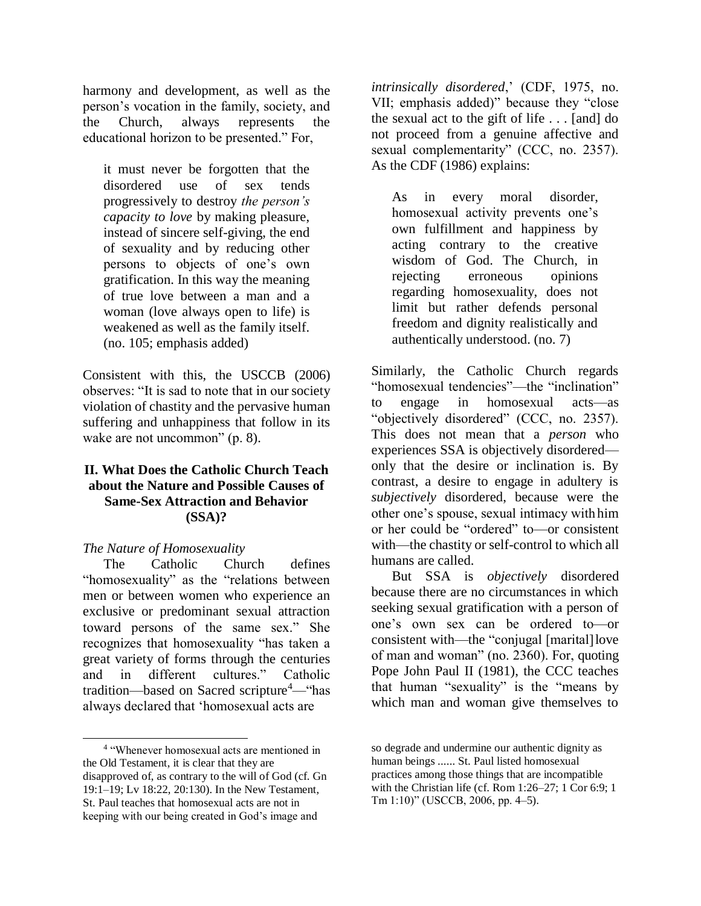harmony and development, as well as the person's vocation in the family, society, and the Church, always represents the educational horizon to be presented." For,

it must never be forgotten that the disordered use of sex tends progressively to destroy *the person's capacity to love* by making pleasure, instead of sincere self-giving, the end of sexuality and by reducing other persons to objects of one's own gratification. In this way the meaning of true love between a man and a woman (love always open to life) is weakened as well as the family itself. (no. 105; emphasis added)

Consistent with this, the USCCB (2006) observes: "It is sad to note that in our society violation of chastity and the pervasive human suffering and unhappiness that follow in its wake are not uncommon" (p. 8).

#### **II. What Does the Catholic Church Teach about the Nature and Possible Causes of Same-Sex Attraction and Behavior (SSA)?**

#### *The Nature of Homosexuality*

The Catholic Church defines "homosexuality" as the "relations between men or between women who experience an exclusive or predominant sexual attraction toward persons of the same sex." She recognizes that homosexuality "has taken a great variety of forms through the centuries and in different cultures." Catholic tradition—based on Sacred scripture<sup>4</sup>—"has always declared that 'homosexual acts are

*intrinsically disordered*,' (CDF, 1975, no. VII; emphasis added)" because they "close the sexual act to the gift of life . . . [and] do not proceed from a genuine affective and sexual complementarity" (CCC, no. 2357). As the CDF (1986) explains:

As in every moral disorder, homosexual activity prevents one's own fulfillment and happiness by acting contrary to the creative wisdom of God. The Church, in rejecting erroneous opinions regarding homosexuality, does not limit but rather defends personal freedom and dignity realistically and authentically understood. (no. 7)

Similarly, the Catholic Church regards "homosexual tendencies"—the "inclination" to engage in homosexual acts—as "objectively disordered" (CCC, no. 2357). This does not mean that a *person* who experiences SSA is objectively disordered only that the desire or inclination is. By contrast, a desire to engage in adultery is *subjectively* disordered, because were the other one's spouse, sexual intimacy with him or her could be "ordered" to—or consistent with—the chastity or self-control to which all humans are called.

But SSA is *objectively* disordered because there are no circumstances in which seeking sexual gratification with a person of one's own sex can be ordered to—or consistent with—the "conjugal [marital]love of man and woman" (no. 2360). For, quoting Pope John Paul II (1981), the CCC teaches that human "sexuality" is the "means by which man and woman give themselves to

<sup>4</sup> "Whenever homosexual acts are mentioned in the Old Testament, it is clear that they are disapproved of, as contrary to the will of God (cf. Gn 19:1–19; Lv 18:22, 20:130). In the New Testament, St. Paul teaches that homosexual acts are not in keeping with our being created in God's image and

so degrade and undermine our authentic dignity as human beings ...... St. Paul listed homosexual practices among those things that are incompatible with the Christian life (cf. Rom 1:26–27; 1 Cor 6:9; 1 Tm 1:10)" (USCCB, 2006, pp. 4–5).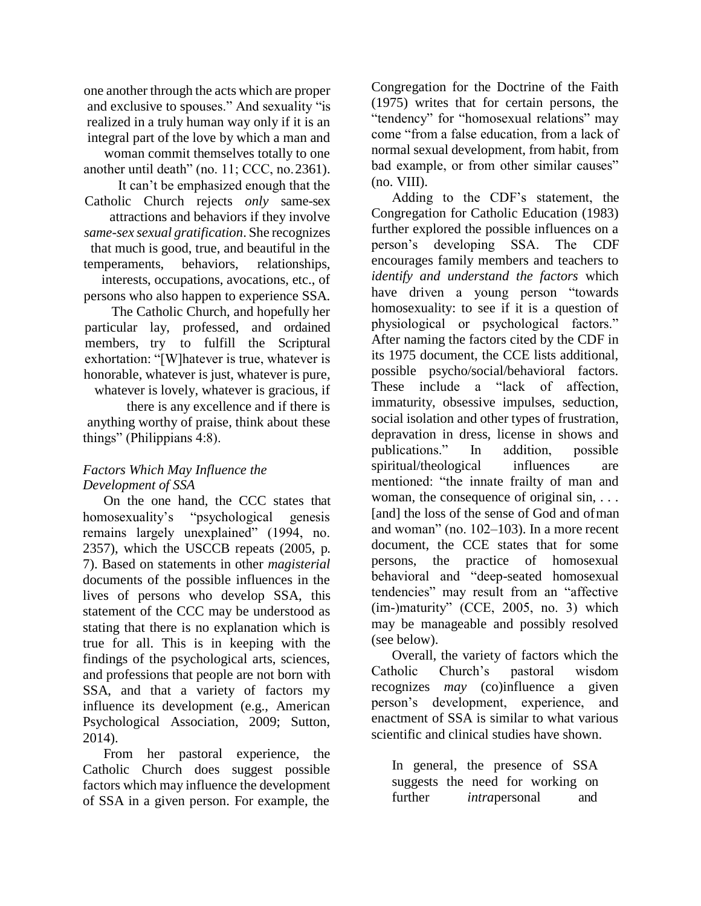one another through the acts which are proper and exclusive to spouses." And sexuality "is realized in a truly human way only if it is an integral part of the love by which a man and woman commit themselves totally to one another until death" (no. 11; CCC, no. 2361). It can't be emphasized enough that the Catholic Church rejects *only* same-sex attractions and behaviors if they involve *same-sex sexual gratification*. She recognizes that much is good, true, and beautiful in the temperaments, behaviors, relationships, interests, occupations, avocations, etc., of persons who also happen to experience SSA. The Catholic Church, and hopefully her

particular lay, professed, and ordained members, try to fulfill the Scriptural exhortation: "[W]hatever is true, whatever is honorable, whatever is just, whatever is pure, whatever is lovely, whatever is gracious, if

there is any excellence and if there is anything worthy of praise, think about these things" (Philippians 4:8).

# *Factors Which May Influence the Development of SSA*

On the one hand, the CCC states that homosexuality's "psychological genesis remains largely unexplained" (1994, no. 2357), which the USCCB repeats (2005, p. 7). Based on statements in other *magisterial*  documents of the possible influences in the lives of persons who develop SSA, this statement of the CCC may be understood as stating that there is no explanation which is true for all. This is in keeping with the findings of the psychological arts, sciences, and professions that people are not born with SSA, and that a variety of factors my influence its development (e.g., American Psychological Association, 2009; Sutton, 2014).

From her pastoral experience, the Catholic Church does suggest possible factors which may influence the development of SSA in a given person. For example, the

Congregation for the Doctrine of the Faith (1975) writes that for certain persons, the "tendency" for "homosexual relations" may come "from a false education, from a lack of normal sexual development, from habit, from bad example, or from other similar causes" (no. VIII).

Adding to the CDF's statement, the Congregation for Catholic Education (1983) further explored the possible influences on a person's developing SSA. The CDF encourages family members and teachers to *identify and understand the factors* which have driven a young person "towards homosexuality: to see if it is a question of physiological or psychological factors." After naming the factors cited by the CDF in its 1975 document, the CCE lists additional, possible psycho/social/behavioral factors. These include a "lack of affection, immaturity, obsessive impulses, seduction, social isolation and other types of frustration, depravation in dress, license in shows and publications." In addition, possible spiritual/theological influences are mentioned: "the innate frailty of man and woman, the consequence of original sin, ... [and] the loss of the sense of God and ofman and woman" (no. 102–103). In a more recent document, the CCE states that for some persons, the practice of homosexual behavioral and "deep-seated homosexual tendencies" may result from an "affective (im-)maturity" (CCE, 2005, no. 3) which may be manageable and possibly resolved (see below).

Overall, the variety of factors which the Catholic Church's pastoral wisdom recognizes *may* (co)influence a given person's development, experience, and enactment of SSA is similar to what various scientific and clinical studies have shown.

In general, the presence of SSA suggests the need for working on further *intra*personal and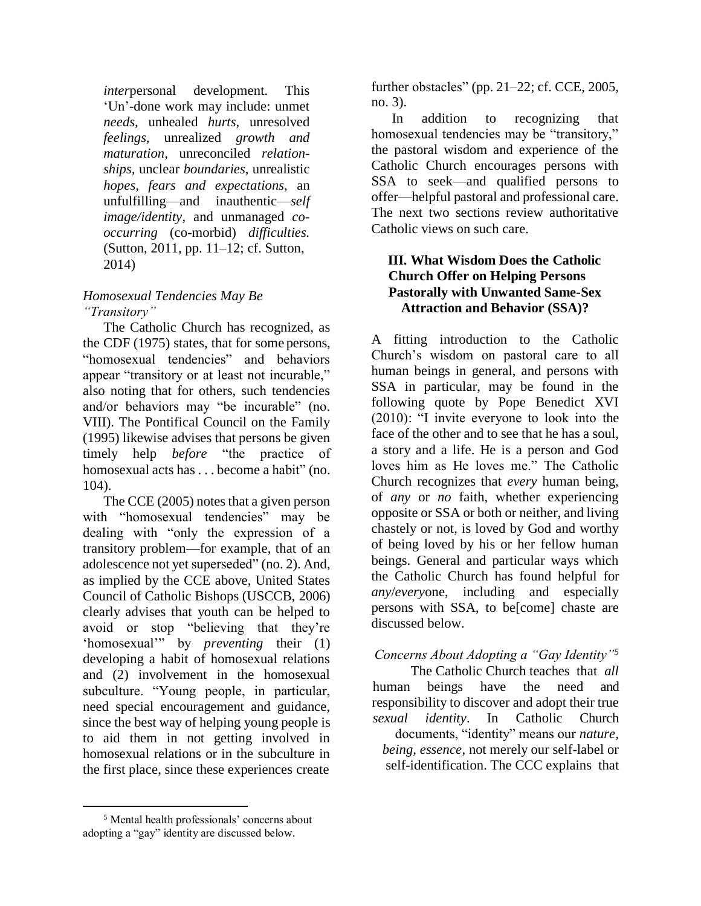*inter*personal development. This 'Un'-done work may include: unmet *needs,* unhealed *hurts*, unresolved *feelings,* unrealized *growth and maturation,* unreconciled *relationships,* unclear *boundaries*, unrealistic *hopes, fears and expectations*, an unfulfilling—and inauthentic—*self image/identity*, and unmanaged *cooccurring* (co-morbid) *difficulties.*  (Sutton, 2011, pp. 11–12; cf. Sutton, 2014)

## *Homosexual Tendencies May Be "Transitory"*

The Catholic Church has recognized, as the CDF (1975) states, that for some persons, "homosexual tendencies" and behaviors appear "transitory or at least not incurable," also noting that for others, such tendencies and/or behaviors may "be incurable" (no. VIII). The Pontifical Council on the Family (1995) likewise advises that persons be given timely help *before* "the practice of homosexual acts has . . . become a habit" (no. 104).

The CCE (2005) notes that a given person with "homosexual tendencies" may be dealing with "only the expression of a transitory problem—for example, that of an adolescence not yet superseded" (no. 2). And, as implied by the CCE above, United States Council of Catholic Bishops (USCCB, 2006) clearly advises that youth can be helped to avoid or stop "believing that they're 'homosexual'" by *preventing* their (1) developing a habit of homosexual relations and (2) involvement in the homosexual subculture. "Young people, in particular, need special encouragement and guidance, since the best way of helping young people is to aid them in not getting involved in homosexual relations or in the subculture in the first place, since these experiences create

further obstacles" (pp. 21–22; cf. CCE, 2005, no. 3).

In addition to recognizing that homosexual tendencies may be "transitory," the pastoral wisdom and experience of the Catholic Church encourages persons with SSA to seek—and qualified persons to offer—helpful pastoral and professional care. The next two sections review authoritative Catholic views on such care.

#### **III. What Wisdom Does the Catholic Church Offer on Helping Persons Pastorally with Unwanted Same-Sex Attraction and Behavior (SSA)?**

A fitting introduction to the Catholic Church's wisdom on pastoral care to all human beings in general, and persons with SSA in particular, may be found in the following quote by Pope Benedict XVI (2010): "I invite everyone to look into the face of the other and to see that he has a soul, a story and a life. He is a person and God loves him as He loves me." The Catholic Church recognizes that *every* human being, of *any* or *no* faith, whether experiencing opposite or SSA or both or neither, and living chastely or not, is loved by God and worthy of being loved by his or her fellow human beings. General and particular ways which the Catholic Church has found helpful for *any*/*every*one, including and especially persons with SSA, to be[come] chaste are discussed below.

# *Concerns About Adopting a "Gay Identity"<sup>5</sup>*

The Catholic Church teaches that *all*  human beings have the need and responsibility to discover and adopt their true *sexual identity*. In Catholic Church documents, "identity" means our *nature, being, essence*, not merely our self-label or self-identification. The CCC explains that

<sup>5</sup> Mental health professionals' concerns about adopting a "gay" identity are discussed below.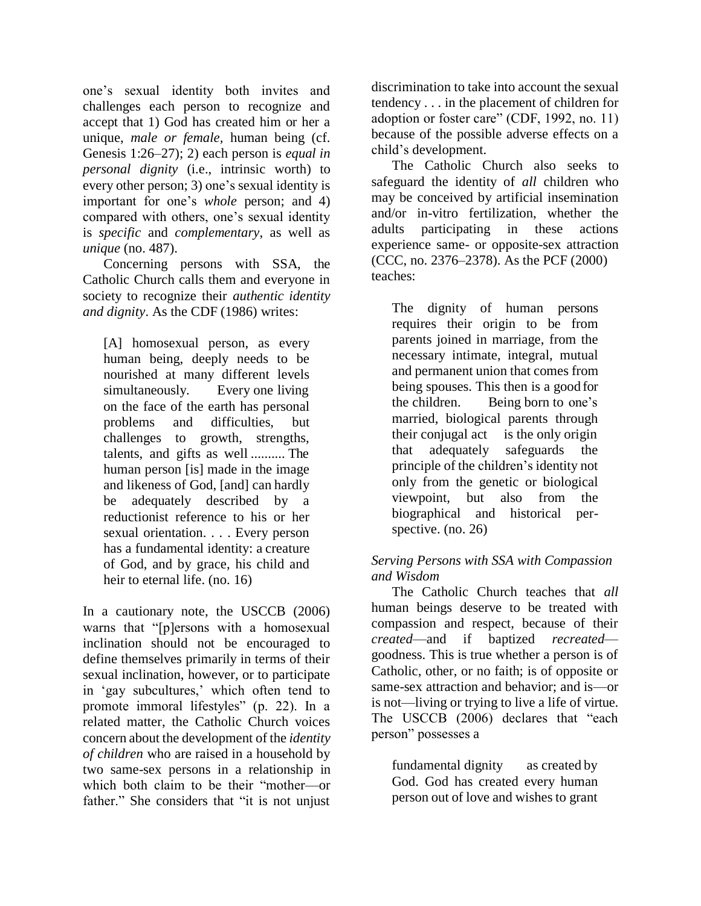one's sexual identity both invites and challenges each person to recognize and accept that 1) God has created him or her a unique, *male or female,* human being (cf. Genesis 1:26–27); 2) each person is *equal in personal dignity* (i.e., intrinsic worth) to every other person; 3) one's sexual identity is important for one's *whole* person; and 4) compared with others, one's sexual identity is *specific* and *complementary*, as well as *unique* (no. 487).

Concerning persons with SSA, the Catholic Church calls them and everyone in society to recognize their *authentic identity and dignity*. As the CDF (1986) writes:

[A] homosexual person, as every human being, deeply needs to be nourished at many different levels simultaneously. Every one living on the face of the earth has personal problems and difficulties, but challenges to growth, strengths, talents, and gifts as well .......... The human person [is] made in the image and likeness of God, [and] can hardly be adequately described by a reductionist reference to his or her sexual orientation. . . . Every person has a fundamental identity: a creature of God, and by grace, his child and heir to eternal life. (no. 16)

In a cautionary note, the USCCB (2006) warns that "[p]ersons with a homosexual inclination should not be encouraged to define themselves primarily in terms of their sexual inclination, however, or to participate in 'gay subcultures,' which often tend to promote immoral lifestyles" (p. 22). In a related matter, the Catholic Church voices concern about the development of the *identity of children* who are raised in a household by two same-sex persons in a relationship in which both claim to be their "mother—or father." She considers that "it is not unjust

discrimination to take into account the sexual tendency . . . in the placement of children for adoption or foster care" (CDF, 1992, no. 11) because of the possible adverse effects on a child's development.

The Catholic Church also seeks to safeguard the identity of *all* children who may be conceived by artificial insemination and/or in-vitro fertilization, whether the adults participating in these actions experience same- or opposite-sex attraction (CCC, no. 2376–2378). As the PCF (2000) teaches:

The dignity of human persons requires their origin to be from parents joined in marriage, from the necessary intimate, integral, mutual and permanent union that comes from being spouses. This then is a good for the children. Being born to one's married, biological parents through their conjugal act is the only origin that adequately safeguards the principle of the children's identity not only from the genetic or biological viewpoint, but also from the biographical and historical perspective. (no. 26)

## *Serving Persons with SSA with Compassion and Wisdom*

The Catholic Church teaches that *all*  human beings deserve to be treated with compassion and respect, because of their *created*—and if baptized *recreated* goodness. This is true whether a person is of Catholic, other, or no faith; is of opposite or same-sex attraction and behavior; and is—or is not—living or trying to live a life of virtue. The USCCB (2006) declares that "each person" possesses a

fundamental dignity as created by God. God has created every human person out of love and wishes to grant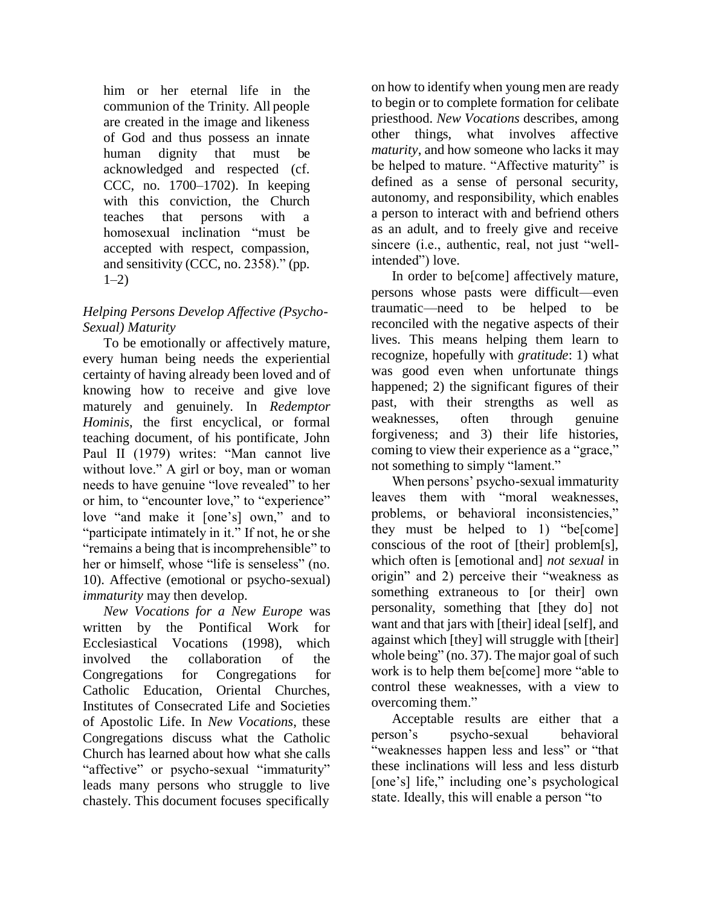him or her eternal life in the communion of the Trinity. All people are created in the image and likeness of God and thus possess an innate human dignity that must be acknowledged and respected (cf. CCC, no. 1700–1702). In keeping with this conviction, the Church teaches that persons with a homosexual inclination "must be accepted with respect, compassion, and sensitivity (CCC, no. 2358)." (pp.  $1-2)$ 

# *Helping Persons Develop Affective (Psycho-Sexual) Maturity*

To be emotionally or affectively mature, every human being needs the experiential certainty of having already been loved and of knowing how to receive and give love maturely and genuinely. In *Redemptor Hominis*, the first encyclical, or formal teaching document, of his pontificate, John Paul II (1979) writes: "Man cannot live without love." A girl or boy, man or woman needs to have genuine "love revealed" to her or him, to "encounter love," to "experience" love "and make it [one's] own," and to "participate intimately in it." If not, he or she "remains a being that isincomprehensible" to her or himself, whose "life is senseless" (no. 10). Affective (emotional or psycho-sexual) *immaturity* may then develop.

*New Vocations for a New Europe* was written by the Pontifical Work for Ecclesiastical Vocations (1998), which involved the collaboration of the Congregations for Congregations for Catholic Education, Oriental Churches, Institutes of Consecrated Life and Societies of Apostolic Life. In *New Vocations*, these Congregations discuss what the Catholic Church has learned about how what she calls "affective" or psycho-sexual "immaturity" leads many persons who struggle to live chastely. This document focuses specifically

on how to identify when young men are ready to begin or to complete formation for celibate priesthood. *New Vocations* describes, among other things, what involves affective *maturity*, and how someone who lacks it may be helped to mature. "Affective maturity" is defined as a sense of personal security, autonomy, and responsibility, which enables a person to interact with and befriend others as an adult, and to freely give and receive sincere (i.e., authentic, real, not just "wellintended") love.

In order to be[come] affectively mature, persons whose pasts were difficult—even traumatic—need to be helped to be reconciled with the negative aspects of their lives. This means helping them learn to recognize, hopefully with *gratitude*: 1) what was good even when unfortunate things happened; 2) the significant figures of their past, with their strengths as well as weaknesses, often through genuine forgiveness; and 3) their life histories, coming to view their experience as a "grace," not something to simply "lament."

When persons' psycho-sexual immaturity leaves them with "moral weaknesses, problems, or behavioral inconsistencies," they must be helped to 1) "be[come] conscious of the root of [their] problem[s], which often is [emotional and] *not sexual* in origin" and 2) perceive their "weakness as something extraneous to [or their] own personality, something that [they do] not want and that jars with [their] ideal [self], and against which [they] will struggle with [their] whole being" (no. 37). The major goal of such work is to help them be[come] more "able to control these weaknesses, with a view to overcoming them."

Acceptable results are either that a person's psycho-sexual behavioral "weaknesses happen less and less" or "that these inclinations will less and less disturb [one's] life," including one's psychological state. Ideally, this will enable a person "to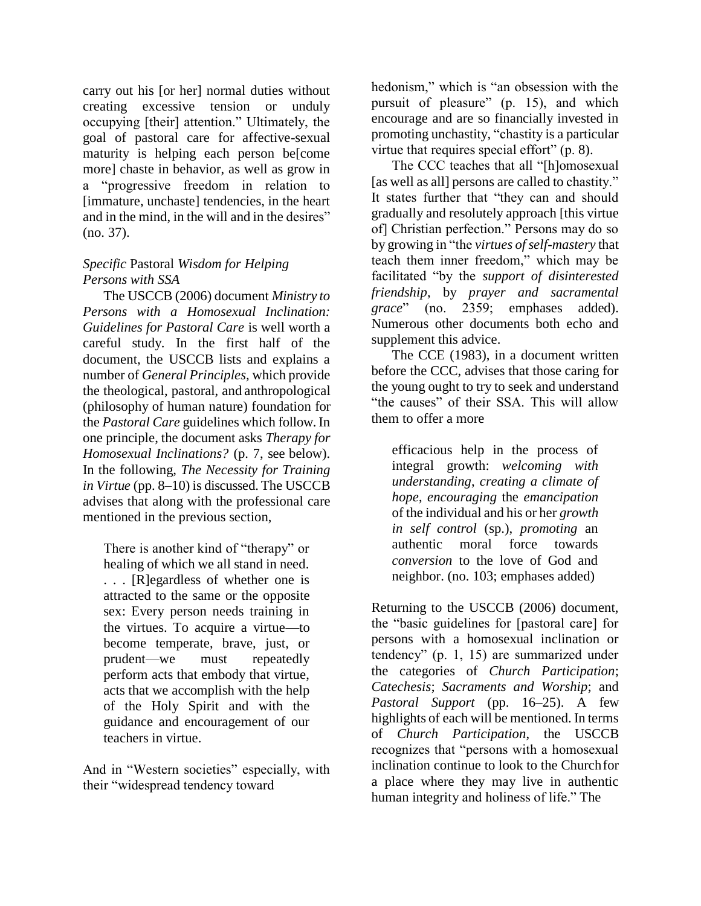carry out his [or her] normal duties without creating excessive tension or unduly occupying [their] attention." Ultimately, the goal of pastoral care for affective-sexual maturity is helping each person be[come more] chaste in behavior, as well as grow in a "progressive freedom in relation to [immature, unchaste] tendencies, in the heart and in the mind, in the will and in the desires" (no. 37).

#### *Specific* Pastoral *Wisdom for Helping Persons with SSA*

The USCCB (2006) document *Ministry to Persons with a Homosexual Inclination: Guidelines for Pastoral Care* is well worth a careful study. In the first half of the document, the USCCB lists and explains a number of *General Principles,* which provide the theological, pastoral, and anthropological (philosophy of human nature) foundation for the *Pastoral Care* guidelines which follow. In one principle, the document asks *Therapy for Homosexual Inclinations?* (p. 7, see below). In the following, *The Necessity for Training in Virtue* (pp. 8–10) is discussed. The USCCB advises that along with the professional care mentioned in the previous section,

There is another kind of "therapy" or healing of which we all stand in need. . . . [R]egardless of whether one is attracted to the same or the opposite sex: Every person needs training in the virtues. To acquire a virtue—to become temperate, brave, just, or prudent—we must repeatedly perform acts that embody that virtue, acts that we accomplish with the help of the Holy Spirit and with the guidance and encouragement of our teachers in virtue.

And in "Western societies" especially, with their "widespread tendency toward

hedonism," which is "an obsession with the pursuit of pleasure" (p. 15), and which encourage and are so financially invested in promoting unchastity, "chastity is a particular virtue that requires special effort" (p. 8).

The CCC teaches that all "[h]omosexual [as well as all] persons are called to chastity." It states further that "they can and should gradually and resolutely approach [this virtue of] Christian perfection." Persons may do so by growing in "the *virtues ofself-mastery* that teach them inner freedom," which may be facilitated "by the *support of disinterested friendship*, by *prayer and sacramental grace*" (no. 2359; emphases added). Numerous other documents both echo and supplement this advice.

The CCE (1983), in a document written before the CCC, advises that those caring for the young ought to try to seek and understand "the causes" of their SSA. This will allow them to offer a more

efficacious help in the process of integral growth: *welcoming with understanding*, *creating a climate of hope*, *encouraging* the *emancipation*  of the individual and his or her *growth in self control* (sp.), *promoting* an authentic moral force towards *conversion* to the love of God and neighbor. (no. 103; emphases added)

Returning to the USCCB (2006) document, the "basic guidelines for [pastoral care] for persons with a homosexual inclination or tendency" (p. 1, 15) are summarized under the categories of *Church Participation*; *Catechesis*; *Sacraments and Worship*; and *Pastoral Support* (pp. 16–25). A few highlights of each will be mentioned. In terms of *Church Participation*, the USCCB recognizes that "persons with a homosexual inclination continue to look to the Churchfor a place where they may live in authentic human integrity and holiness of life." The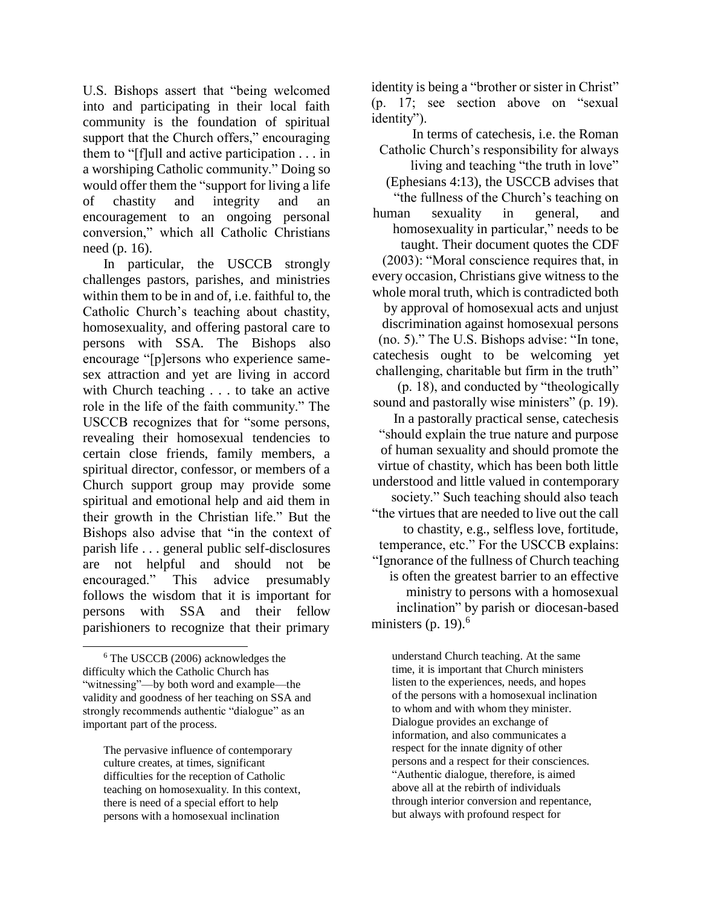U.S. Bishops assert that "being welcomed into and participating in their local faith community is the foundation of spiritual support that the Church offers," encouraging them to "[f]ull and active participation . . . in a worshiping Catholic community." Doing so would offer them the "support for living a life of chastity and integrity and an encouragement to an ongoing personal conversion," which all Catholic Christians need (p. 16).

In particular, the USCCB strongly challenges pastors, parishes, and ministries within them to be in and of, i.e. faithful to, the Catholic Church's teaching about chastity, homosexuality, and offering pastoral care to persons with SSA. The Bishops also encourage "[p]ersons who experience samesex attraction and yet are living in accord with Church teaching . . . to take an active role in the life of the faith community." The USCCB recognizes that for "some persons, revealing their homosexual tendencies to certain close friends, family members, a spiritual director, confessor, or members of a Church support group may provide some spiritual and emotional help and aid them in their growth in the Christian life." But the Bishops also advise that "in the context of parish life . . . general public self-disclosures are not helpful and should not be encouraged." This advice presumably follows the wisdom that it is important for persons with SSA and their fellow parishioners to recognize that their primary

The pervasive influence of contemporary culture creates, at times, significant difficulties for the reception of Catholic teaching on homosexuality. In this context, there is need of a special effort to help persons with a homosexual inclination

identity is being a "brother or sister in Christ" (p. 17; see section above on "sexual identity").

In terms of catechesis, i.e. the Roman Catholic Church's responsibility for always living and teaching "the truth in love" (Ephesians 4:13), the USCCB advises that "the fullness of the Church's teaching on human sexuality in general, and homosexuality in particular," needs to be taught. Their document quotes the CDF (2003): "Moral conscience requires that, in every occasion, Christians give witness to the whole moral truth, which is contradicted both by approval of homosexual acts and unjust discrimination against homosexual persons (no. 5)." The U.S. Bishops advise: "In tone, catechesis ought to be welcoming yet challenging, charitable but firm in the truth" (p. 18), and conducted by "theologically sound and pastorally wise ministers" (p. 19). In a pastorally practical sense, catechesis "should explain the true nature and purpose of human sexuality and should promote the virtue of chastity, which has been both little understood and little valued in contemporary society." Such teaching should also teach "the virtues that are needed to live out the call to chastity, e.g., selfless love, fortitude, temperance, etc." For the USCCB explains: "Ignorance of the fullness of Church teaching is often the greatest barrier to an effective ministry to persons with a homosexual inclination" by parish or diocesan-based ministers (p. 19). $<sup>6</sup>$ </sup>

understand Church teaching. At the same time, it is important that Church ministers listen to the experiences, needs, and hopes of the persons with a homosexual inclination to whom and with whom they minister. Dialogue provides an exchange of information, and also communicates a respect for the innate dignity of other persons and a respect for their consciences. "Authentic dialogue, therefore, is aimed above all at the rebirth of individuals through interior conversion and repentance, but always with profound respect for

<sup>6</sup> The USCCB (2006) acknowledges the difficulty which the Catholic Church has "witnessing"—by both word and example—the validity and goodness of her teaching on SSA and strongly recommends authentic "dialogue" as an important part of the process.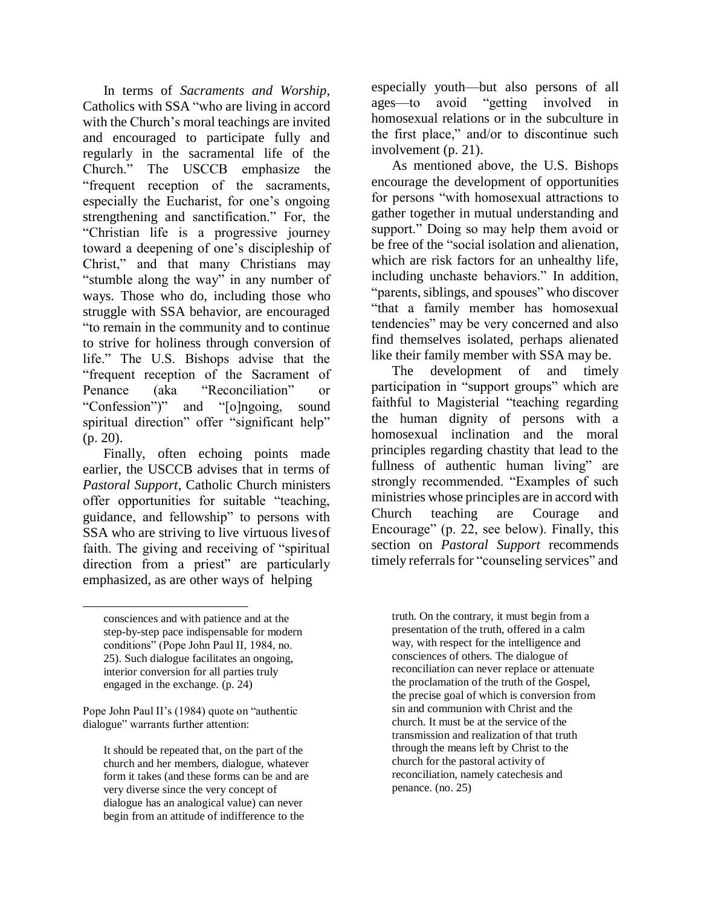In terms of *Sacraments and Worship*, Catholics with SSA "who are living in accord with the Church's moral teachings are invited and encouraged to participate fully and regularly in the sacramental life of the Church." The USCCB emphasize the "frequent reception of the sacraments, especially the Eucharist, for one's ongoing strengthening and sanctification." For, the "Christian life is a progressive journey toward a deepening of one's discipleship of Christ," and that many Christians may "stumble along the way" in any number of ways. Those who do, including those who struggle with SSA behavior, are encouraged "to remain in the community and to continue to strive for holiness through conversion of life." The U.S. Bishops advise that the "frequent reception of the Sacrament of Penance (aka "Reconciliation" or "Confession")" and "[o]ngoing, sound spiritual direction" offer "significant help" (p. 20).

Finally, often echoing points made earlier, the USCCB advises that in terms of *Pastoral Support*, Catholic Church ministers offer opportunities for suitable "teaching, guidance, and fellowship" to persons with SSA who are striving to live virtuous livesof faith. The giving and receiving of "spiritual direction from a priest" are particularly emphasized, as are other ways of helping

consciences and with patience and at the step-by-step pace indispensable for modern conditions" (Pope John Paul II, 1984, no. 25). Such dialogue facilitates an ongoing, interior conversion for all parties truly engaged in the exchange. (p. 24)

Pope John Paul II's (1984) quote on "authentic dialogue" warrants further attention:

It should be repeated that, on the part of the church and her members, dialogue, whatever form it takes (and these forms can be and are very diverse since the very concept of dialogue has an analogical value) can never begin from an attitude of indifference to the

especially youth—but also persons of all ages—to avoid "getting involved in homosexual relations or in the subculture in the first place," and/or to discontinue such involvement (p. 21).

As mentioned above, the U.S. Bishops encourage the development of opportunities for persons "with homosexual attractions to gather together in mutual understanding and support." Doing so may help them avoid or be free of the "social isolation and alienation, which are risk factors for an unhealthy life, including unchaste behaviors." In addition, "parents, siblings, and spouses" who discover "that a family member has homosexual tendencies" may be very concerned and also find themselves isolated, perhaps alienated like their family member with SSA may be.

The development of and timely participation in "support groups" which are faithful to Magisterial "teaching regarding the human dignity of persons with a homosexual inclination and the moral principles regarding chastity that lead to the fullness of authentic human living" are strongly recommended. "Examples of such ministries whose principles are in accord with Church teaching are Courage and Encourage" (p. 22, see below). Finally, this section on *Pastoral Support* recommends timely referrals for "counseling services" and

truth. On the contrary, it must begin from a presentation of the truth, offered in a calm way, with respect for the intelligence and consciences of others. The dialogue of reconciliation can never replace or attenuate the proclamation of the truth of the Gospel, the precise goal of which is conversion from sin and communion with Christ and the church. It must be at the service of the transmission and realization of that truth through the means left by Christ to the church for the pastoral activity of reconciliation, namely catechesis and penance. (no. 25)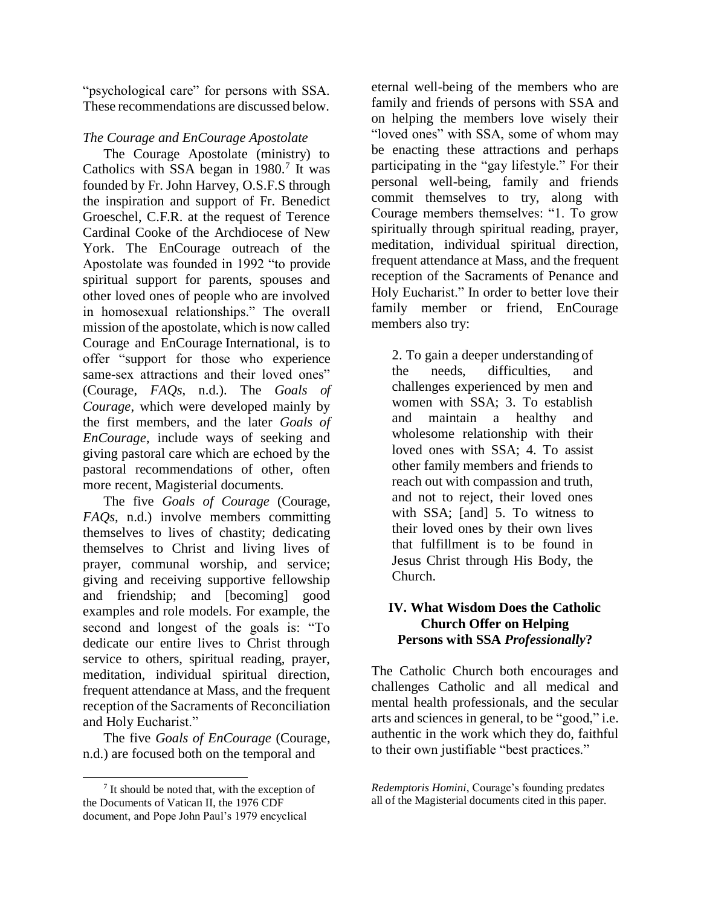"psychological care" for persons with SSA. These recommendations are discussed below.

## *The Courage and EnCourage Apostolate*

The Courage Apostolate (ministry) to Catholics with SSA began in  $1980$ .<sup>7</sup> It was founded by Fr. John Harvey, O.S.F.S through the inspiration and support of Fr. Benedict Groeschel, C.F.R. at the request of Terence Cardinal Cooke of the Archdiocese of New York. The EnCourage outreach of the Apostolate was founded in 1992 "to provide spiritual support for parents, spouses and other loved ones of people who are involved in homosexual relationships." The overall mission of the apostolate, which is now called Courage and EnCourage International, is to offer "support for those who experience same-sex attractions and their loved ones" (Courage, *FAQs*, n.d.). The *Goals of Courage*, which were developed mainly by the first members, and the later *Goals of EnCourage*, include ways of seeking and giving pastoral care which are echoed by the pastoral recommendations of other, often more recent, Magisterial documents.

The five *Goals of Courage* (Courage, *FAQs*, n.d.) involve members committing themselves to lives of chastity; dedicating themselves to Christ and living lives of prayer, communal worship, and service; giving and receiving supportive fellowship and friendship; and [becoming] good examples and role models. For example, the second and longest of the goals is: "To dedicate our entire lives to Christ through service to others, spiritual reading, prayer, meditation, individual spiritual direction, frequent attendance at Mass, and the frequent reception of the Sacraments of Reconciliation and Holy Eucharist."

The five *Goals of EnCourage* (Courage, n.d.) are focused both on the temporal and

eternal well-being of the members who are family and friends of persons with SSA and on helping the members love wisely their "loved ones" with SSA, some of whom may be enacting these attractions and perhaps participating in the "gay lifestyle." For their personal well-being, family and friends commit themselves to try, along with Courage members themselves: "1. To grow spiritually through spiritual reading, prayer, meditation, individual spiritual direction, frequent attendance at Mass, and the frequent reception of the Sacraments of Penance and Holy Eucharist." In order to better love their family member or friend, EnCourage members also try:

2. To gain a deeper understanding of the needs, difficulties, and challenges experienced by men and women with SSA; 3. To establish and maintain a healthy and wholesome relationship with their loved ones with SSA; 4. To assist other family members and friends to reach out with compassion and truth, and not to reject, their loved ones with SSA; [and] 5. To witness to their loved ones by their own lives that fulfillment is to be found in Jesus Christ through His Body, the Church.

## **IV. What Wisdom Does the Catholic Church Offer on Helping Persons with SSA** *Professionally***?**

The Catholic Church both encourages and challenges Catholic and all medical and mental health professionals, and the secular arts and sciences in general, to be "good," i.e. authentic in the work which they do, faithful to their own justifiable "best practices."

<sup>&</sup>lt;sup>7</sup> It should be noted that, with the exception of the Documents of Vatican II, the 1976 CDF document, and Pope John Paul's 1979 encyclical

*Redemptoris Homini*, Courage's founding predates all of the Magisterial documents cited in this paper.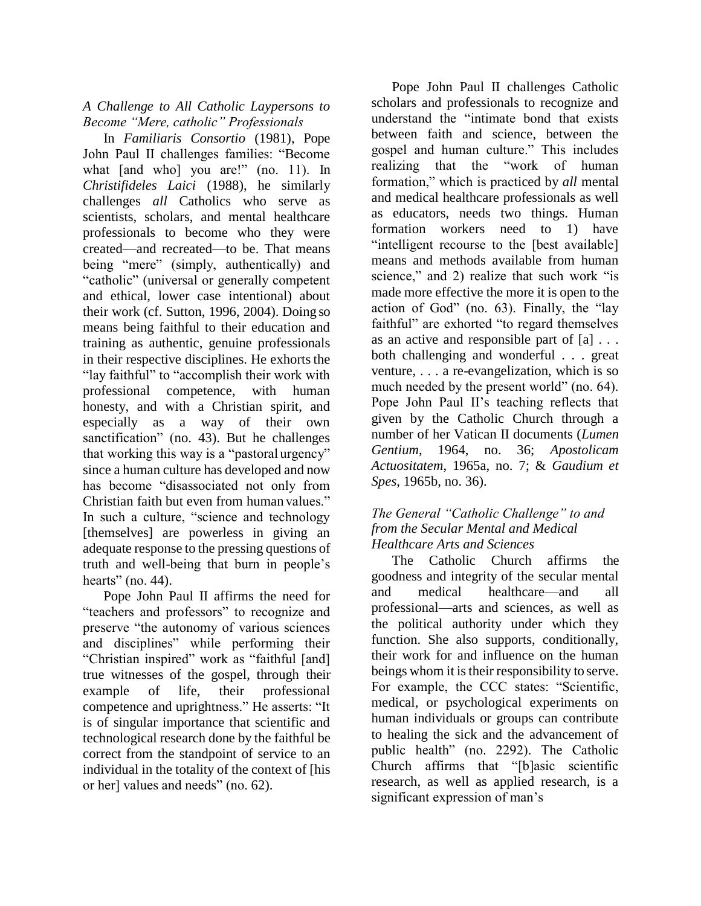#### *A Challenge to All Catholic Laypersons to Become "Mere, catholic" Professionals*

In *Familiaris Consortio* (1981), Pope John Paul II challenges families: "Become what [and who] you are!" (no. 11). In *Christifideles Laici* (1988), he similarly challenges *all* Catholics who serve as scientists, scholars, and mental healthcare professionals to become who they were created—and recreated—to be. That means being "mere" (simply, authentically) and "catholic" (universal or generally competent and ethical, lower case intentional) about their work (cf. Sutton, 1996, 2004). Doing so means being faithful to their education and training as authentic, genuine professionals in their respective disciplines. He exhorts the "lay faithful" to "accomplish their work with professional competence, with human honesty, and with a Christian spirit, and especially as a way of their own sanctification" (no. 43). But he challenges that working this way is a "pastoral urgency" since a human culture has developed and now has become "disassociated not only from Christian faith but even from human values." In such a culture, "science and technology [themselves] are powerless in giving an adequate response to the pressing questions of truth and well-being that burn in people's hearts" (no.  $44$ ).

Pope John Paul II affirms the need for "teachers and professors" to recognize and preserve "the autonomy of various sciences and disciplines" while performing their "Christian inspired" work as "faithful [and] true witnesses of the gospel, through their example of life, their professional competence and uprightness." He asserts: "It is of singular importance that scientific and technological research done by the faithful be correct from the standpoint of service to an individual in the totality of the context of [his or her] values and needs" (no. 62).

Pope John Paul II challenges Catholic scholars and professionals to recognize and understand the "intimate bond that exists between faith and science, between the gospel and human culture." This includes realizing that the "work of human formation," which is practiced by *all* mental and medical healthcare professionals as well as educators, needs two things. Human formation workers need to 1) have "intelligent recourse to the [best available] means and methods available from human science," and 2) realize that such work "is made more effective the more it is open to the action of God" (no. 63). Finally, the "lay faithful" are exhorted "to regard themselves as an active and responsible part of [a] . . . both challenging and wonderful . . . great venture, . . . a re-evangelization, which is so much needed by the present world" (no. 64). Pope John Paul II's teaching reflects that given by the Catholic Church through a number of her Vatican II documents (*Lumen Gentium*, 1964, no. 36; *Apostolicam Actuositatem*, 1965a, no. 7; & *Gaudium et Spes*, 1965b, no. 36).

## *The General "Catholic Challenge" to and from the Secular Mental and Medical Healthcare Arts and Sciences*

The Catholic Church affirms the goodness and integrity of the secular mental and medical healthcare—and all professional—arts and sciences, as well as the political authority under which they function. She also supports, conditionally, their work for and influence on the human beings whom it is their responsibility to serve. For example, the CCC states: "Scientific, medical, or psychological experiments on human individuals or groups can contribute to healing the sick and the advancement of public health" (no. 2292). The Catholic Church affirms that "[b]asic scientific research, as well as applied research, is a significant expression of man's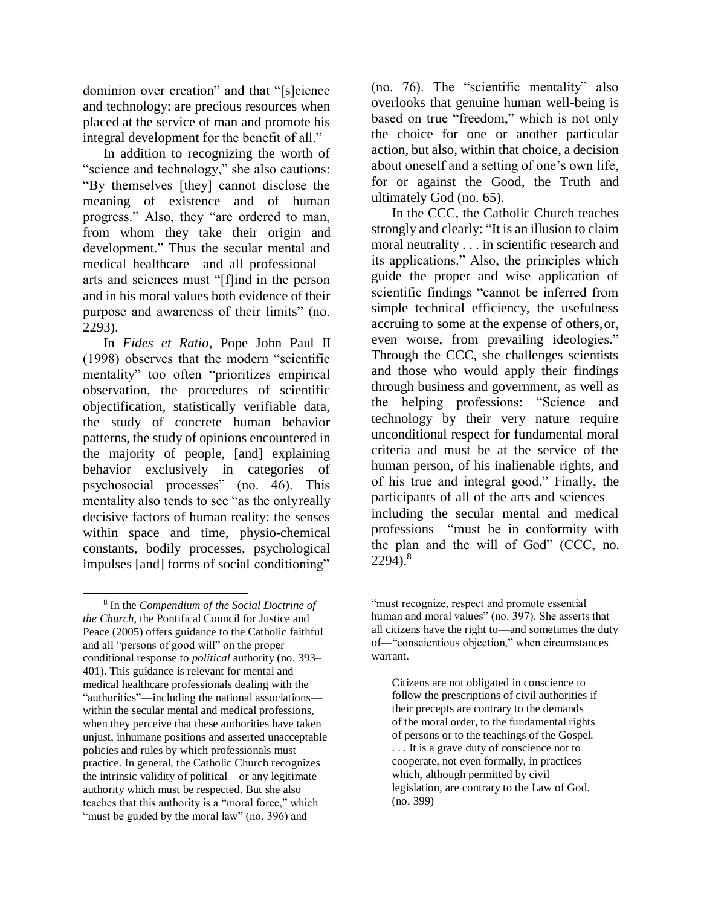dominion over creation" and that "[s]cience and technology: are precious resources when placed at the service of man and promote his integral development for the benefit of all."

In addition to recognizing the worth of "science and technology," she also cautions: "By themselves [they] cannot disclose the meaning of existence and of human progress." Also, they "are ordered to man, from whom they take their origin and development." Thus the secular mental and medical healthcare—and all professional arts and sciences must "[f]ind in the person and in his moral values both evidence of their purpose and awareness of their limits" (no. 2293).

In *Fides et Ratio*, Pope John Paul II (1998) observes that the modern "scientific mentality" too often "prioritizes empirical observation, the procedures of scientific objectification, statistically verifiable data, the study of concrete human behavior patterns, the study of opinions encountered in the majority of people, [and] explaining behavior exclusively in categories of psychosocial processes" (no. 46). This mentality also tends to see "as the onlyreally decisive factors of human reality: the senses within space and time, physio-chemical constants, bodily processes, psychological impulses [and] forms of social conditioning"

(no. 76). The "scientific mentality" also overlooks that genuine human well-being is based on true "freedom," which is not only the choice for one or another particular action, but also, within that choice, a decision about oneself and a setting of one's own life, for or against the Good, the Truth and ultimately God (no. 65).

In the CCC, the Catholic Church teaches strongly and clearly: "It is an illusion to claim moral neutrality . . . in scientific research and its applications." Also, the principles which guide the proper and wise application of scientific findings "cannot be inferred from simple technical efficiency, the usefulness accruing to some at the expense of others,or, even worse, from prevailing ideologies." Through the CCC, she challenges scientists and those who would apply their findings through business and government, as well as the helping professions: "Science and technology by their very nature require unconditional respect for fundamental moral criteria and must be at the service of the human person, of his inalienable rights, and of his true and integral good." Finally, the participants of all of the arts and sciences including the secular mental and medical professions—"must be in conformity with the plan and the will of God" (CCC, no.  $2294$ ).<sup>8</sup>

<sup>8</sup> In the *Compendium of the Social Doctrine of the Church*, the Pontifical Council for Justice and Peace (2005) offers guidance to the Catholic faithful and all "persons of good will" on the proper conditional response to *political* authority (no. 393– 401). This guidance is relevant for mental and medical healthcare professionals dealing with the "authorities"—including the national associations within the secular mental and medical professions, when they perceive that these authorities have taken unjust, inhumane positions and asserted unacceptable policies and rules by which professionals must practice. In general, the Catholic Church recognizes the intrinsic validity of political—or any legitimate authority which must be respected. But she also teaches that this authority is a "moral force," which "must be guided by the moral law" (no. 396) and

<sup>&</sup>quot;must recognize, respect and promote essential human and moral values" (no. 397). She asserts that all citizens have the right to—and sometimes the duty of—"conscientious objection," when circumstances warrant.

Citizens are not obligated in conscience to follow the prescriptions of civil authorities if their precepts are contrary to the demands of the moral order, to the fundamental rights of persons or to the teachings of the Gospel. . . . It is a grave duty of conscience not to cooperate, not even formally, in practices which, although permitted by civil legislation, are contrary to the Law of God. (no. 399)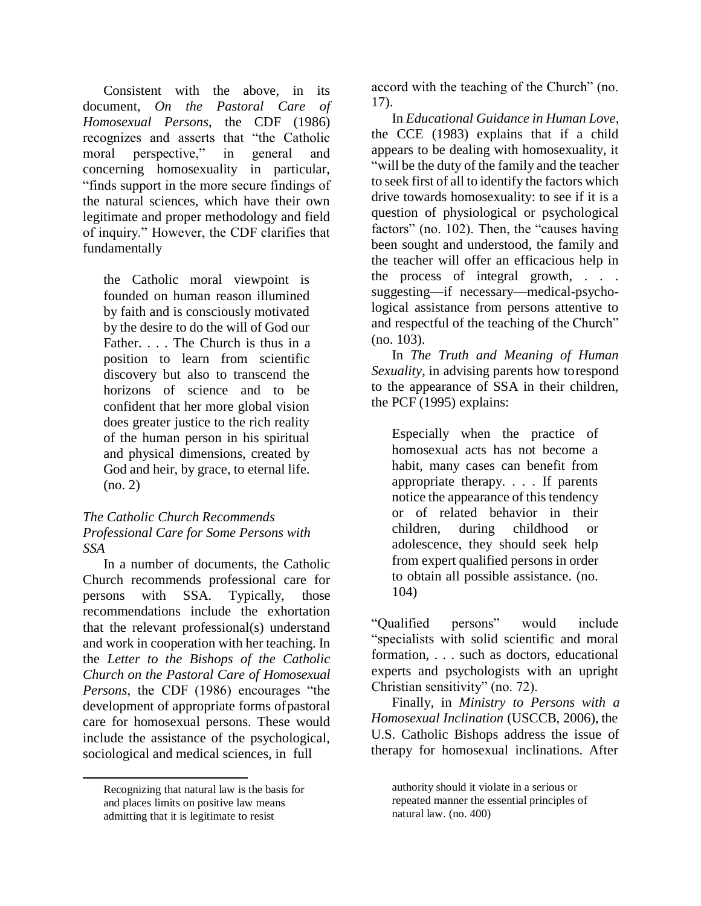Consistent with the above, in its document, *On the Pastoral Care of Homosexual Persons*, the CDF (1986) recognizes and asserts that "the Catholic moral perspective," in general and concerning homosexuality in particular, "finds support in the more secure findings of the natural sciences, which have their own legitimate and proper methodology and field of inquiry." However, the CDF clarifies that fundamentally

the Catholic moral viewpoint is founded on human reason illumined by faith and is consciously motivated by the desire to do the will of God our Father. . . . The Church is thus in a position to learn from scientific discovery but also to transcend the horizons of science and to be confident that her more global vision does greater justice to the rich reality of the human person in his spiritual and physical dimensions, created by God and heir, by grace, to eternal life. (no. 2)

#### *The Catholic Church Recommends Professional Care for Some Persons with SSA*

In a number of documents, the Catholic Church recommends professional care for persons with SSA. Typically, those recommendations include the exhortation that the relevant professional(s) understand and work in cooperation with her teaching. In the *Letter to the Bishops of the Catholic Church on the Pastoral Care of Homosexual Persons*, the CDF (1986) encourages "the development of appropriate forms ofpastoral care for homosexual persons. These would include the assistance of the psychological, sociological and medical sciences, in full

accord with the teaching of the Church" (no. 17).

In *Educational Guidance in Human Love*, the CCE (1983) explains that if a child appears to be dealing with homosexuality, it "will be the duty of the family and the teacher to seek first of all to identify the factors which drive towards homosexuality: to see if it is a question of physiological or psychological factors" (no. 102). Then, the "causes having been sought and understood, the family and the teacher will offer an efficacious help in the process of integral growth, . . . suggesting—if necessary—medical-psychological assistance from persons attentive to and respectful of the teaching of the Church" (no. 103).

In *The Truth and Meaning of Human Sexuality*, in advising parents how torespond to the appearance of SSA in their children, the PCF (1995) explains:

Especially when the practice of homosexual acts has not become a habit, many cases can benefit from appropriate therapy. . . . If parents notice the appearance of this tendency or of related behavior in their children, during childhood or adolescence, they should seek help from expert qualified persons in order to obtain all possible assistance. (no. 104)

"Qualified persons" would include "specialists with solid scientific and moral formation, . . . such as doctors, educational experts and psychologists with an upright Christian sensitivity" (no. 72).

Finally, in *Ministry to Persons with a Homosexual Inclination* (USCCB, 2006), the U.S. Catholic Bishops address the issue of therapy for homosexual inclinations. After

Recognizing that natural law is the basis for and places limits on positive law means admitting that it is legitimate to resist

authority should it violate in a serious or repeated manner the essential principles of natural law. (no. 400)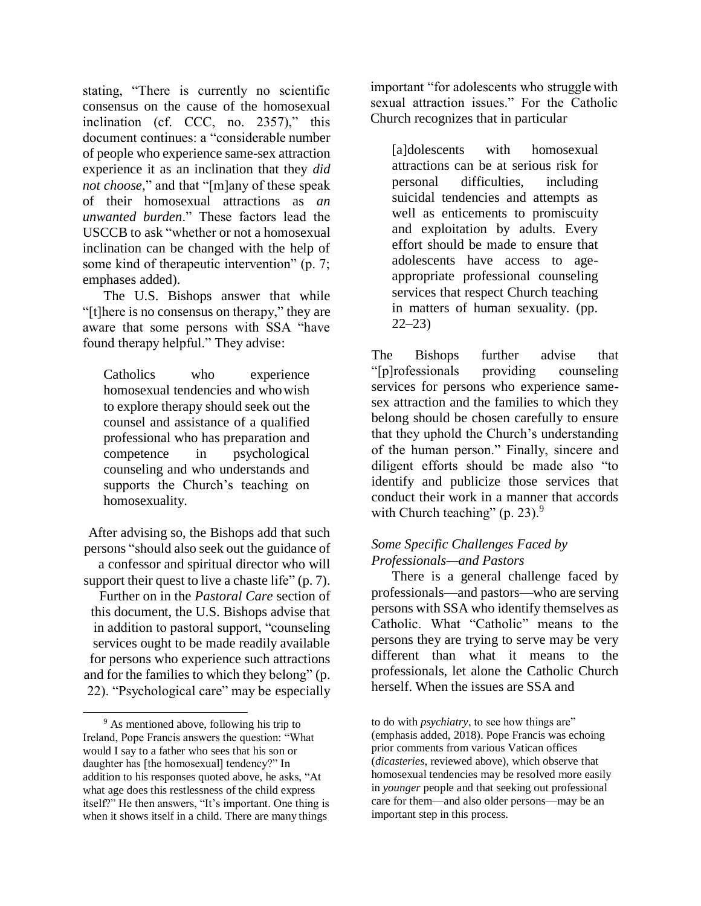stating, "There is currently no scientific consensus on the cause of the homosexual inclination (cf. CCC, no. 2357)," this document continues: a "considerable number of people who experience same-sex attraction experience it as an inclination that they *did not choose,*" and that "[m]any of these speak of their homosexual attractions as *an unwanted burden*." These factors lead the USCCB to ask "whether or not a homosexual inclination can be changed with the help of some kind of therapeutic intervention" (p. 7; emphases added).

The U.S. Bishops answer that while "[t]here is no consensus on therapy," they are aware that some persons with SSA "have found therapy helpful." They advise:

Catholics who experience homosexual tendencies and whowish to explore therapy should seek out the counsel and assistance of a qualified professional who has preparation and competence in psychological counseling and who understands and supports the Church's teaching on homosexuality.

After advising so, the Bishops add that such persons "should also seek out the guidance of a confessor and spiritual director who will support their quest to live a chaste life" (p. 7). Further on in the *Pastoral Care* section of this document, the U.S. Bishops advise that in addition to pastoral support, "counseling services ought to be made readily available for persons who experience such attractions and for the families to which they belong" (p. 22). "Psychological care" may be especially

important "for adolescents who struggle with sexual attraction issues." For the Catholic Church recognizes that in particular

[a]dolescents with homosexual attractions can be at serious risk for personal difficulties, including suicidal tendencies and attempts as well as enticements to promiscuity and exploitation by adults. Every effort should be made to ensure that adolescents have access to ageappropriate professional counseling services that respect Church teaching in matters of human sexuality. (pp. 22–23)

The Bishops further advise that "[p]rofessionals providing counseling services for persons who experience samesex attraction and the families to which they belong should be chosen carefully to ensure that they uphold the Church's understanding of the human person." Finally, sincere and diligent efforts should be made also "to identify and publicize those services that conduct their work in a manner that accords with Church teaching" (p. 23). $9$ 

# *Some Specific Challenges Faced by Professionals—and Pastors*

There is a general challenge faced by professionals—and pastors—who are serving persons with SSA who identify themselves as Catholic. What "Catholic" means to the persons they are trying to serve may be very different than what it means to the professionals, let alone the Catholic Church herself. When the issues are SSA and

<sup>&</sup>lt;sup>9</sup> As mentioned above, following his trip to Ireland, Pope Francis answers the question: "What would I say to a father who sees that his son or daughter has [the homosexual] tendency?" In addition to his responses quoted above, he asks, "At what age does this restlessness of the child express itself?" He then answers, "It's important. One thing is when it shows itself in a child. There are many things

to do with *psychiatry*, to see how things are" (emphasis added, 2018). Pope Francis was echoing prior comments from various Vatican offices (*dicasteries*, reviewed above), which observe that homosexual tendencies may be resolved more easily in *younger* people and that seeking out professional care for them—and also older persons—may be an important step in this process.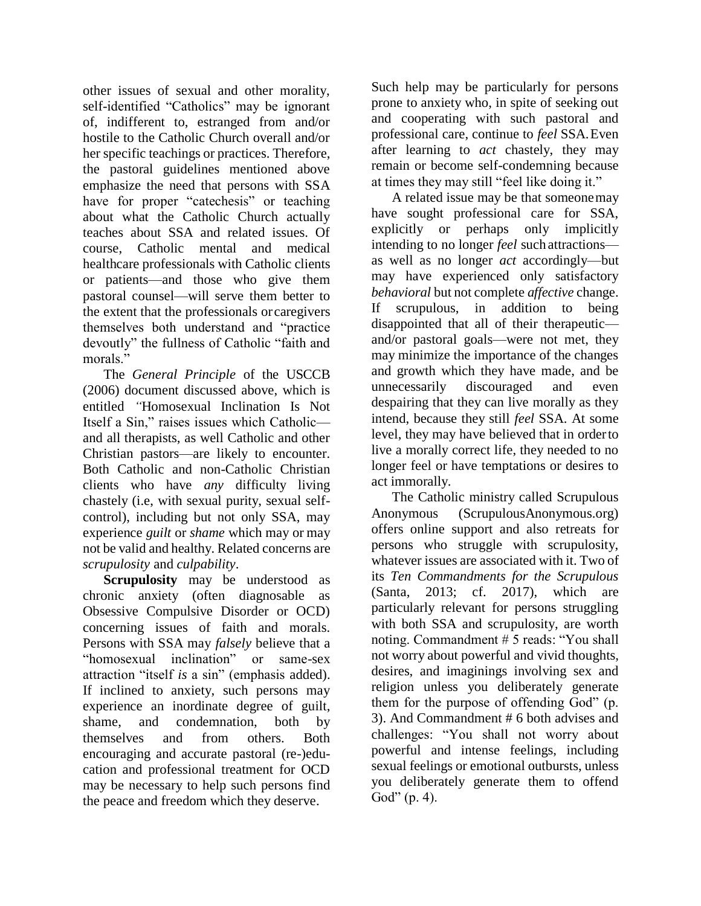other issues of sexual and other morality, self-identified "Catholics" may be ignorant of, indifferent to, estranged from and/or hostile to the Catholic Church overall and/or her specific teachings or practices. Therefore, the pastoral guidelines mentioned above emphasize the need that persons with SSA have for proper "catechesis" or teaching about what the Catholic Church actually teaches about SSA and related issues. Of course, Catholic mental and medical healthcare professionals with Catholic clients or patients—and those who give them pastoral counsel—will serve them better to the extent that the professionals orcaregivers themselves both understand and "practice devoutly" the fullness of Catholic "faith and morals."

The *General Principle* of the USCCB (2006) document discussed above, which is entitled *"*Homosexual Inclination Is Not Itself a Sin," raises issues which Catholic and all therapists, as well Catholic and other Christian pastors—are likely to encounter. Both Catholic and non-Catholic Christian clients who have *any* difficulty living chastely (i.e, with sexual purity, sexual selfcontrol), including but not only SSA, may experience *guilt* or *shame* which may or may not be valid and healthy. Related concerns are *scrupulosity* and *culpability*.

**Scrupulosity** may be understood as chronic anxiety (often diagnosable as Obsessive Compulsive Disorder or OCD) concerning issues of faith and morals. Persons with SSA may *falsely* believe that a "homosexual inclination" or same-sex attraction "itself *is* a sin" (emphasis added). If inclined to anxiety, such persons may experience an inordinate degree of guilt, shame, and condemnation, both by themselves and from others. Both encouraging and accurate pastoral (re-)education and professional treatment for OCD may be necessary to help such persons find the peace and freedom which they deserve.

Such help may be particularly for persons prone to anxiety who, in spite of seeking out and cooperating with such pastoral and professional care, continue to *feel* SSA.Even after learning to *act* chastely, they may remain or become self-condemning because at times they may still "feel like doing it."

A related issue may be that someonemay have sought professional care for SSA, explicitly or perhaps only implicitly intending to no longer *feel* such attractions as well as no longer *act* accordingly—but may have experienced only satisfactory *behavioral* but not complete *affective* change. If scrupulous, in addition to being disappointed that all of their therapeutic and/or pastoral goals—were not met, they may minimize the importance of the changes and growth which they have made, and be unnecessarily discouraged and even despairing that they can live morally as they intend, because they still *feel* SSA. At some level, they may have believed that in orderto live a morally correct life, they needed to no longer feel or have temptations or desires to act immorally.

The Catholic ministry called Scrupulous Anonymous (ScrupulousAnonymous.org) offers online support and also retreats for persons who struggle with scrupulosity, whatever issues are associated with it. Two of its *Ten Commandments for the Scrupulous*  (Santa, 2013; cf. 2017), which are particularly relevant for persons struggling with both SSA and scrupulosity, are worth noting. Commandment # 5 reads: "You shall not worry about powerful and vivid thoughts, desires, and imaginings involving sex and religion unless you deliberately generate them for the purpose of offending God" (p. 3). And Commandment # 6 both advises and challenges: "You shall not worry about powerful and intense feelings, including sexual feelings or emotional outbursts, unless you deliberately generate them to offend God" (p. 4).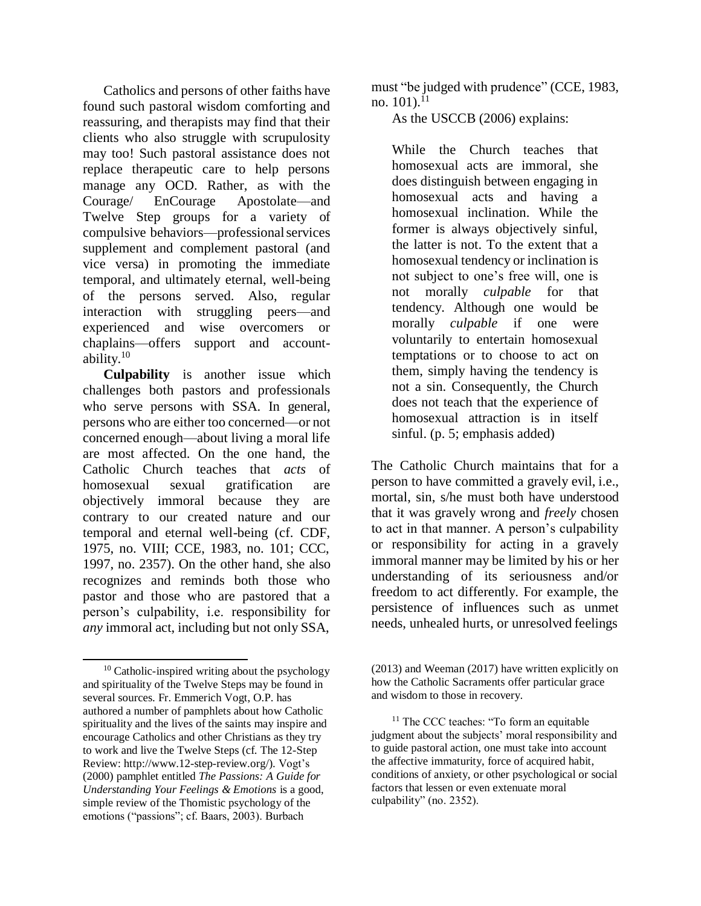Catholics and persons of other faiths have found such pastoral wisdom comforting and reassuring, and therapists may find that their clients who also struggle with scrupulosity may too! Such pastoral assistance does not replace therapeutic care to help persons manage any OCD. Rather, as with the Courage/ EnCourage Apostolate—and Twelve Step groups for a variety of compulsive behaviors—professionalservices supplement and complement pastoral (and vice versa) in promoting the immediate temporal, and ultimately eternal, well-being of the persons served. Also, regular interaction with struggling peers—and experienced and wise overcomers or chaplains—offers support and accountability.<sup>10</sup>

**Culpability** is another issue which challenges both pastors and professionals who serve persons with SSA. In general, persons who are either too concerned—or not concerned enough—about living a moral life are most affected. On the one hand, the Catholic Church teaches that *acts* of homosexual sexual gratification are objectively immoral because they are contrary to our created nature and our temporal and eternal well-being (cf. CDF, 1975, no. VIII; CCE, 1983, no. 101; CCC, 1997, no. 2357). On the other hand, she also recognizes and reminds both those who pastor and those who are pastored that a person's culpability, i.e. responsibility for *any* immoral act, including but not only SSA,

 $10$  Catholic-inspired writing about the psychology and spirituality of the Twelve Steps may be found in several sources. Fr. Emmerich Vogt, O.P. has authored a number of pamphlets about how Catholic spirituality and the lives of the saints may inspire and encourage Catholics and other Christians as they try to work and live the Twelve Steps (cf. The 12-Step Review: [http://www.12-step-review.org/\). V](http://www.12-step-review.org/))ogt's (2000) pamphlet entitled *The Passions: A Guide for Understanding Your Feelings & Emotions* is a good, simple review of the Thomistic psychology of the emotions ("passions"; cf. Baars, 2003). Burbach

must "be judged with prudence" (CCE, 1983, no.  $101$ ).  $^{11}$ 

As the USCCB (2006) explains:

While the Church teaches that homosexual acts are immoral, she does distinguish between engaging in homosexual acts and having a homosexual inclination. While the former is always objectively sinful, the latter is not. To the extent that a homosexual tendency or inclination is not subject to one's free will, one is not morally *culpable* for that tendency. Although one would be morally *culpable* if one were voluntarily to entertain homosexual temptations or to choose to act on them, simply having the tendency is not a sin. Consequently, the Church does not teach that the experience of homosexual attraction is in itself sinful. (p. 5; emphasis added)

The Catholic Church maintains that for a person to have committed a gravely evil, i.e., mortal, sin, s/he must both have understood that it was gravely wrong and *freely* chosen to act in that manner. A person's culpability or responsibility for acting in a gravely immoral manner may be limited by his or her understanding of its seriousness and/or freedom to act differently. For example, the persistence of influences such as unmet needs, unhealed hurts, or unresolved feelings

<sup>(2013)</sup> and Weeman (2017) have written explicitly on how the Catholic Sacraments offer particular grace and wisdom to those in recovery.

 $11$  The CCC teaches: "To form an equitable judgment about the subjects' moral responsibility and to guide pastoral action, one must take into account the affective immaturity, force of acquired habit, conditions of anxiety, or other psychological or social factors that lessen or even extenuate moral culpability" (no. 2352).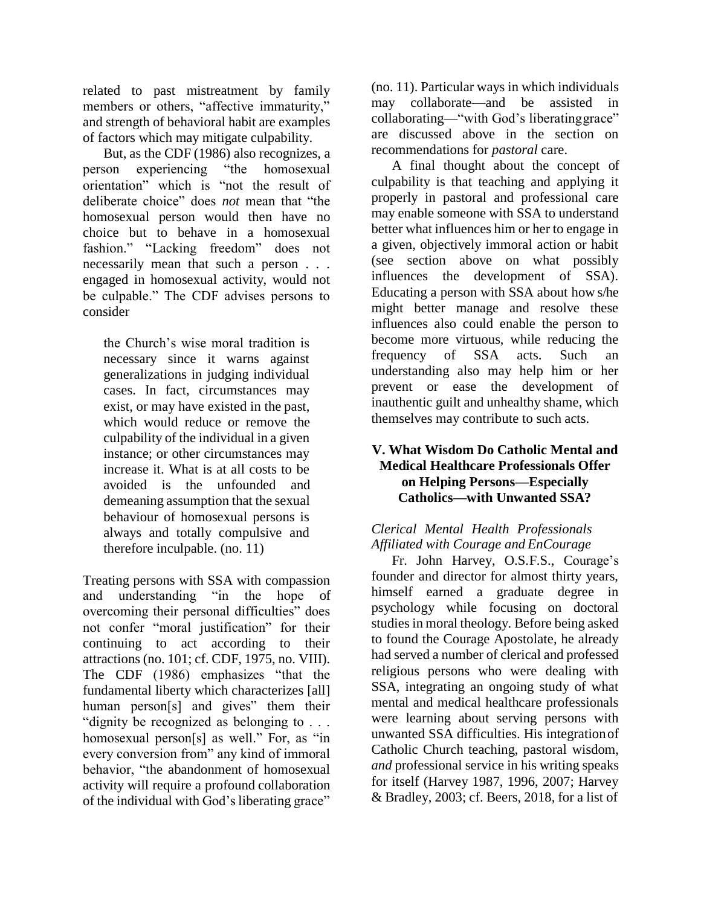related to past mistreatment by family members or others, "affective immaturity," and strength of behavioral habit are examples of factors which may mitigate culpability.

But, as the CDF (1986) also recognizes, a person experiencing "the homosexual orientation" which is "not the result of deliberate choice" does *not* mean that "the homosexual person would then have no choice but to behave in a homosexual fashion." "Lacking freedom" does not necessarily mean that such a person . . . engaged in homosexual activity, would not be culpable." The CDF advises persons to consider

the Church's wise moral tradition is necessary since it warns against generalizations in judging individual cases. In fact, circumstances may exist, or may have existed in the past, which would reduce or remove the culpability of the individual in a given instance; or other circumstances may increase it. What is at all costs to be avoided is the unfounded and demeaning assumption that the sexual behaviour of homosexual persons is always and totally compulsive and therefore inculpable. (no. 11)

Treating persons with SSA with compassion and understanding "in the hope of overcoming their personal difficulties" does not confer "moral justification" for their continuing to act according to their attractions (no. 101; cf. CDF, 1975, no. VIII). The CDF (1986) emphasizes "that the fundamental liberty which characterizes [all] human person[s] and gives" them their "dignity be recognized as belonging to . . . homosexual person[s] as well." For, as "in every conversion from" any kind of immoral behavior, "the abandonment of homosexual activity will require a profound collaboration of the individual with God's liberating grace"

(no. 11). Particular ways in which individuals may collaborate—and be assisted in collaborating—"with God's liberatinggrace" are discussed above in the section on recommendations for *pastoral* care.

A final thought about the concept of culpability is that teaching and applying it properly in pastoral and professional care may enable someone with SSA to understand better what influences him or her to engage in a given, objectively immoral action or habit (see section above on what possibly influences the development of SSA). Educating a person with SSA about how s/he might better manage and resolve these influences also could enable the person to become more virtuous, while reducing the frequency of SSA acts. Such an understanding also may help him or her prevent or ease the development of inauthentic guilt and unhealthy shame, which themselves may contribute to such acts.

# **V. What Wisdom Do Catholic Mental and Medical Healthcare Professionals Offer on Helping Persons—Especially Catholics—with Unwanted SSA?**

# *Clerical Mental Health Professionals Affiliated with Courage and EnCourage*

Fr. John Harvey, O.S.F.S., Courage's founder and director for almost thirty years, himself earned a graduate degree in psychology while focusing on doctoral studies in moral theology. Before being asked to found the Courage Apostolate, he already had served a number of clerical and professed religious persons who were dealing with SSA, integrating an ongoing study of what mental and medical healthcare professionals were learning about serving persons with unwanted SSA difficulties. His integrationof Catholic Church teaching, pastoral wisdom, *and* professional service in his writing speaks for itself (Harvey 1987, 1996, 2007; Harvey & Bradley, 2003; cf. Beers, 2018, for a list of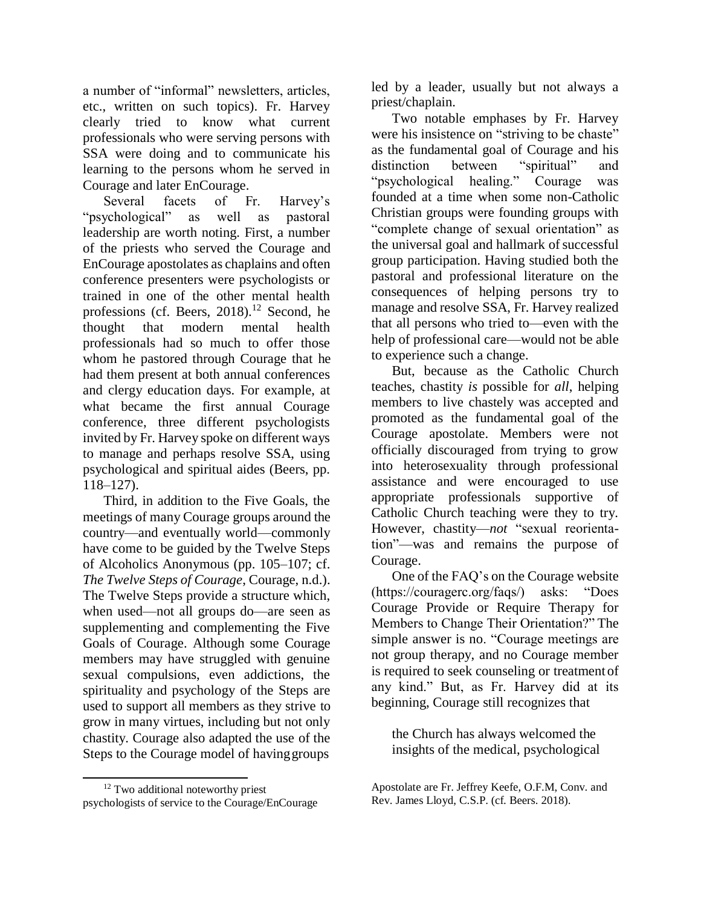a number of "informal" newsletters, articles, etc., written on such topics). Fr. Harvey clearly tried to know what current professionals who were serving persons with SSA were doing and to communicate his learning to the persons whom he served in Courage and later EnCourage.

Several facets of Fr. Harvey's "psychological" as well as pastoral leadership are worth noting. First, a number of the priests who served the Courage and EnCourage apostolates as chaplains and often conference presenters were psychologists or trained in one of the other mental health professions (cf. Beers,  $2018$ ).<sup>12</sup> Second, he thought that modern mental health professionals had so much to offer those whom he pastored through Courage that he had them present at both annual conferences and clergy education days. For example, at what became the first annual Courage conference, three different psychologists invited by Fr. Harvey spoke on different ways to manage and perhaps resolve SSA, using psychological and spiritual aides (Beers, pp. 118–127).

Third, in addition to the Five Goals, the meetings of many Courage groups around the country—and eventually world—commonly have come to be guided by the Twelve Steps of Alcoholics Anonymous (pp. 105–107; cf. *The Twelve Steps of Courage*, Courage, n.d.). The Twelve Steps provide a structure which, when used—not all groups do—are seen as supplementing and complementing the Five Goals of Courage. Although some Courage members may have struggled with genuine sexual compulsions, even addictions, the spirituality and psychology of the Steps are used to support all members as they strive to grow in many virtues, including but not only chastity. Courage also adapted the use of the Steps to the Courage model of havinggroups

led by a leader, usually but not always a priest/chaplain.

Two notable emphases by Fr. Harvey were his insistence on "striving to be chaste" as the fundamental goal of Courage and his distinction between "spiritual" and "psychological healing." Courage was founded at a time when some non-Catholic Christian groups were founding groups with "complete change of sexual orientation" as the universal goal and hallmark of successful group participation. Having studied both the pastoral and professional literature on the consequences of helping persons try to manage and resolve SSA, Fr. Harvey realized that all persons who tried to—even with the help of professional care—would not be able to experience such a change.

But, because as the Catholic Church teaches, chastity *is* possible for *all*, helping members to live chastely was accepted and promoted as the fundamental goal of the Courage apostolate. Members were not officially discouraged from trying to grow into heterosexuality through professional assistance and were encouraged to use appropriate professionals supportive of Catholic Church teaching were they to try. However, chastity—*not* "sexual reorientation"—was and remains the purpose of Courage.

One of the FAQ's on the Courage website (https://couragerc.org/faqs/) asks: "Does Courage Provide or Require Therapy for Members to Change Their Orientation?" The simple answer is no. "Courage meetings are not group therapy, and no Courage member is required to seek counseling or treatment of any kind." But, as Fr. Harvey did at its beginning, Courage still recognizes that

the Church has always welcomed the insights of the medical, psychological

<sup>&</sup>lt;sup>12</sup> Two additional noteworthy priest psychologists of service to the Courage/EnCourage

Apostolate are Fr. Jeffrey Keefe, O.F.M, Conv. and Rev. James Lloyd, C.S.P. (cf. Beers. 2018).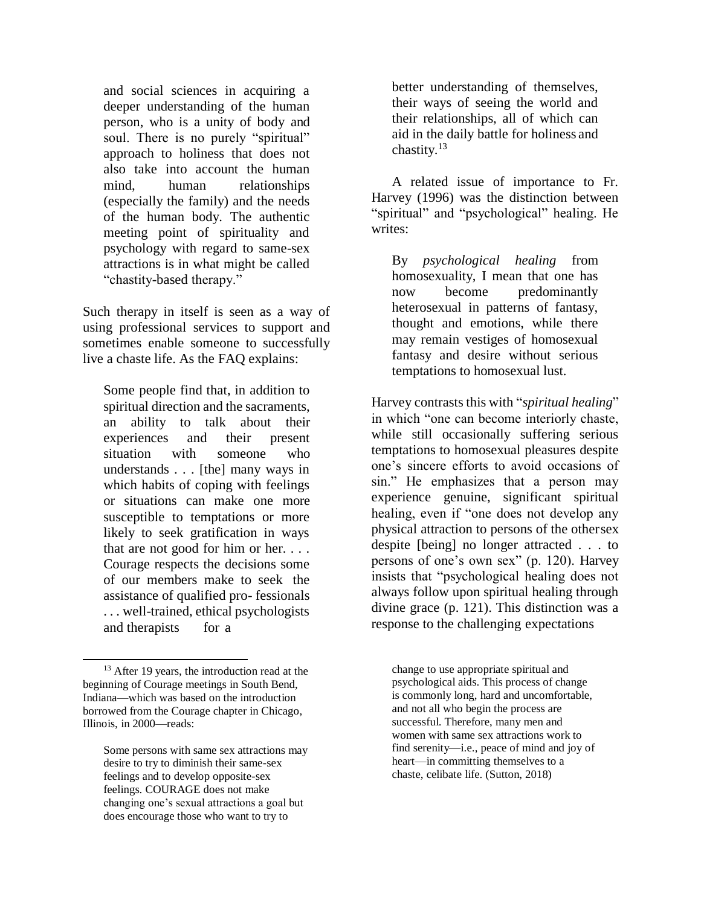and social sciences in acquiring a deeper understanding of the human person, who is a unity of body and soul. There is no purely "spiritual" approach to holiness that does not also take into account the human mind, human relationships (especially the family) and the needs of the human body. The authentic meeting point of spirituality and psychology with regard to same-sex attractions is in what might be called "chastity-based therapy."

Such therapy in itself is seen as a way of using professional services to support and sometimes enable someone to successfully live a chaste life. As the FAQ explains:

Some people find that, in addition to spiritual direction and the sacraments, an ability to talk about their experiences and their present situation with someone who understands . . . [the] many ways in which habits of coping with feelings or situations can make one more susceptible to temptations or more likely to seek gratification in ways that are not good for him or her. . . . Courage respects the decisions some of our members make to seek the assistance of qualified pro- fessionals . . . well-trained, ethical psychologists and therapists for a

better understanding of themselves, their ways of seeing the world and their relationships, all of which can aid in the daily battle for holiness and chastity. $13$ 

A related issue of importance to Fr. Harvey (1996) was the distinction between "spiritual" and "psychological" healing. He writes:

By *psychological healing* from homosexuality, I mean that one has now become predominantly heterosexual in patterns of fantasy, thought and emotions, while there may remain vestiges of homosexual fantasy and desire without serious temptations to homosexual lust.

Harvey contrasts this with "*spiritual healing*" in which "one can become interiorly chaste, while still occasionally suffering serious temptations to homosexual pleasures despite one's sincere efforts to avoid occasions of sin." He emphasizes that a person may experience genuine, significant spiritual healing, even if "one does not develop any physical attraction to persons of the othersex despite [being] no longer attracted . . . to persons of one's own sex" (p. 120). Harvey insists that "psychological healing does not always follow upon spiritual healing through divine grace (p. 121). This distinction was a response to the challenging expectations

change to use appropriate spiritual and psychological aids. This process of change is commonly long, hard and uncomfortable, and not all who begin the process are successful. Therefore, many men and women with same sex attractions work to find serenity—i.e., peace of mind and joy of heart—in committing themselves to a chaste, celibate life. (Sutton, 2018)

<sup>&</sup>lt;sup>13</sup> After 19 years, the introduction read at the beginning of Courage meetings in South Bend, Indiana—which was based on the introduction borrowed from the Courage chapter in Chicago, Illinois, in 2000—reads:

Some persons with same sex attractions may desire to try to diminish their same-sex feelings and to develop opposite-sex feelings. COURAGE does not make changing one's sexual attractions a goal but does encourage those who want to try to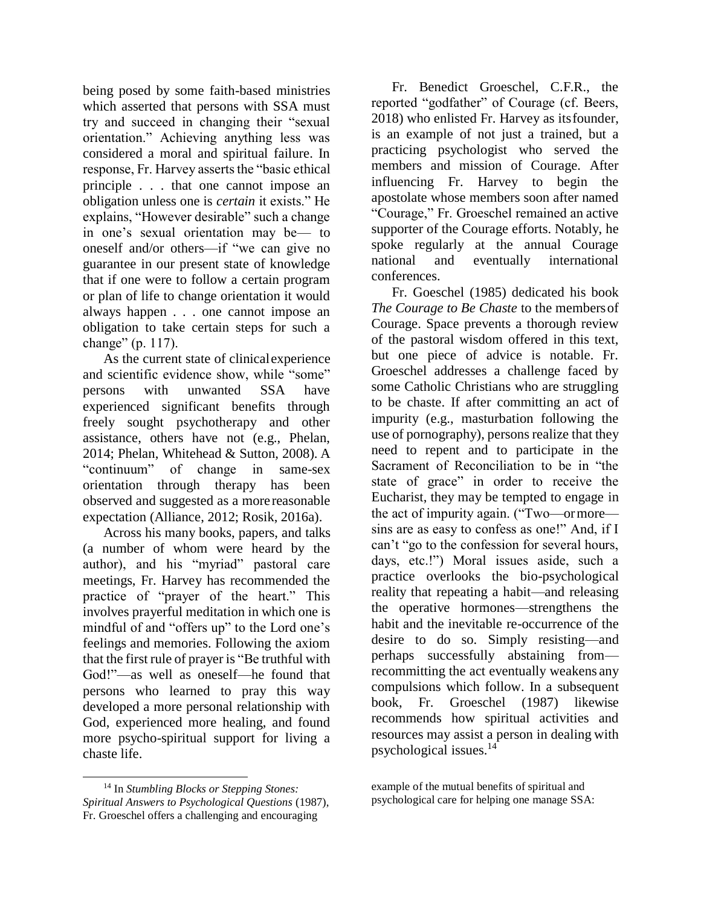being posed by some faith-based ministries which asserted that persons with SSA must try and succeed in changing their "sexual orientation." Achieving anything less was considered a moral and spiritual failure. In response, Fr. Harvey asserts the "basic ethical principle . . . that one cannot impose an obligation unless one is *certain* it exists." He explains, "However desirable" such a change in one's sexual orientation may be— to oneself and/or others—if "we can give no guarantee in our present state of knowledge that if one were to follow a certain program or plan of life to change orientation it would always happen . . . one cannot impose an obligation to take certain steps for such a change" (p. 117).

As the current state of clinicalexperience and scientific evidence show, while "some" persons with unwanted SSA have experienced significant benefits through freely sought psychotherapy and other assistance, others have not (e.g., Phelan, 2014; Phelan, Whitehead & Sutton, 2008). A "continuum" of change in same-sex orientation through therapy has been observed and suggested as a morereasonable expectation (Alliance, 2012; Rosik, 2016a).

Across his many books, papers, and talks (a number of whom were heard by the author), and his "myriad" pastoral care meetings, Fr. Harvey has recommended the practice of "prayer of the heart." This involves prayerful meditation in which one is mindful of and "offers up" to the Lord one's feelings and memories. Following the axiom that the first rule of prayer is "Be truthful with God!"—as well as oneself—he found that persons who learned to pray this way developed a more personal relationship with God, experienced more healing, and found more psycho-spiritual support for living a chaste life.

Fr. Benedict Groeschel, C.F.R., the reported "godfather" of Courage (cf. Beers, 2018) who enlisted Fr. Harvey as itsfounder, is an example of not just a trained, but a practicing psychologist who served the members and mission of Courage. After influencing Fr. Harvey to begin the apostolate whose members soon after named "Courage," Fr. Groeschel remained an active supporter of the Courage efforts. Notably, he spoke regularly at the annual Courage national and eventually international conferences.

Fr. Goeschel (1985) dedicated his book *The Courage to Be Chaste* to the membersof Courage. Space prevents a thorough review of the pastoral wisdom offered in this text, but one piece of advice is notable. Fr. Groeschel addresses a challenge faced by some Catholic Christians who are struggling to be chaste. If after committing an act of impurity (e.g., masturbation following the use of pornography), persons realize that they need to repent and to participate in the Sacrament of Reconciliation to be in "the state of grace" in order to receive the Eucharist, they may be tempted to engage in the act of impurity again. ("Two—ormore sins are as easy to confess as one!" And, if I can't "go to the confession for several hours, days, etc.!") Moral issues aside, such a practice overlooks the bio-psychological reality that repeating a habit—and releasing the operative hormones—strengthens the habit and the inevitable re-occurrence of the desire to do so. Simply resisting—and perhaps successfully abstaining from recommitting the act eventually weakens any compulsions which follow. In a subsequent book, Fr. Groeschel (1987) likewise recommends how spiritual activities and resources may assist a person in dealing with psychological issues.<sup>14</sup>

<sup>14</sup> In *Stumbling Blocks or Stepping Stones: Spiritual Answers to Psychological Questions* (1987), Fr. Groeschel offers a challenging and encouraging

example of the mutual benefits of spiritual and psychological care for helping one manage SSA: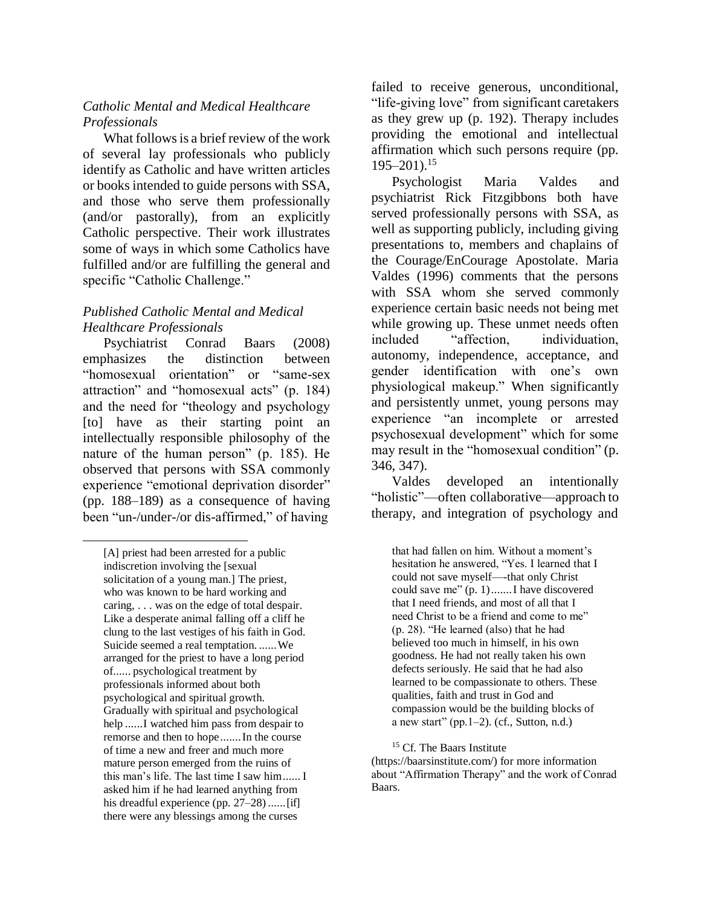#### *Catholic Mental and Medical Healthcare Professionals*

What followsis a brief review of the work of several lay professionals who publicly identify as Catholic and have written articles or books intended to guide persons with SSA, and those who serve them professionally (and/or pastorally), from an explicitly Catholic perspective. Their work illustrates some of ways in which some Catholics have fulfilled and/or are fulfilling the general and specific "Catholic Challenge."

#### *Published Catholic Mental and Medical Healthcare Professionals*

Psychiatrist Conrad Baars (2008) emphasizes the distinction between "homosexual orientation" or "same-sex attraction" and "homosexual acts" (p. 184) and the need for "theology and psychology [to] have as their starting point an intellectually responsible philosophy of the nature of the human person" (p. 185). He observed that persons with SSA commonly experience "emotional deprivation disorder" (pp. 188–189) as a consequence of having been "un-/under-/or dis-affirmed," of having

failed to receive generous, unconditional, "life-giving love" from significant caretakers as they grew up (p. 192). Therapy includes providing the emotional and intellectual affirmation which such persons require (pp.  $195 - 201$ ).<sup>15</sup>

Psychologist Maria Valdes and psychiatrist Rick Fitzgibbons both have served professionally persons with SSA, as well as supporting publicly, including giving presentations to, members and chaplains of the Courage/EnCourage Apostolate. Maria Valdes (1996) comments that the persons with SSA whom she served commonly experience certain basic needs not being met while growing up. These unmet needs often included "affection, individuation, autonomy, independence, acceptance, and gender identification with one's own physiological makeup." When significantly and persistently unmet, young persons may experience "an incomplete or arrested psychosexual development" which for some may result in the "homosexual condition" (p. 346, 347).

Valdes developed an intentionally "holistic"—often collaborative—approach to therapy, and integration of psychology and

that had fallen on him. Without a moment's hesitation he answered, "Yes. I learned that I could not save myself—-that only Christ could save me" (p. 1).......I have discovered that I need friends, and most of all that I need Christ to be a friend and come to me" (p. 28). "He learned (also) that he had believed too much in himself, in his own goodness. He had not really taken his own defects seriously. He said that he had also learned to be compassionate to others. These qualities, faith and trust in God and compassion would be the building blocks of a new start" (pp.  $1-2$ ). (cf., Sutton, n.d.)

<sup>[</sup>A] priest had been arrested for a public indiscretion involving the [sexual solicitation of a young man.] The priest, who was known to be hard working and caring, . . . was on the edge of total despair. Like a desperate animal falling off a cliff he clung to the last vestiges of his faith in God. Suicide seemed a real temptation. ......We arranged for the priest to have a long period of...... psychological treatment by professionals informed about both psychological and spiritual growth. Gradually with spiritual and psychological help ......I watched him pass from despair to remorse and then to hope.......In the course of time a new and freer and much more mature person emerged from the ruins of this man's life. The last time I saw him...... I asked him if he had learned anything from his dreadful experience (pp. 27–28) ...... [if] there were any blessings among the curses

<sup>&</sup>lt;sup>15</sup> Cf. The Baars Institute

<sup>(</sup>https://baarsinstitute.com/) for more information about "Affirmation Therapy" and the work of Conrad Baars.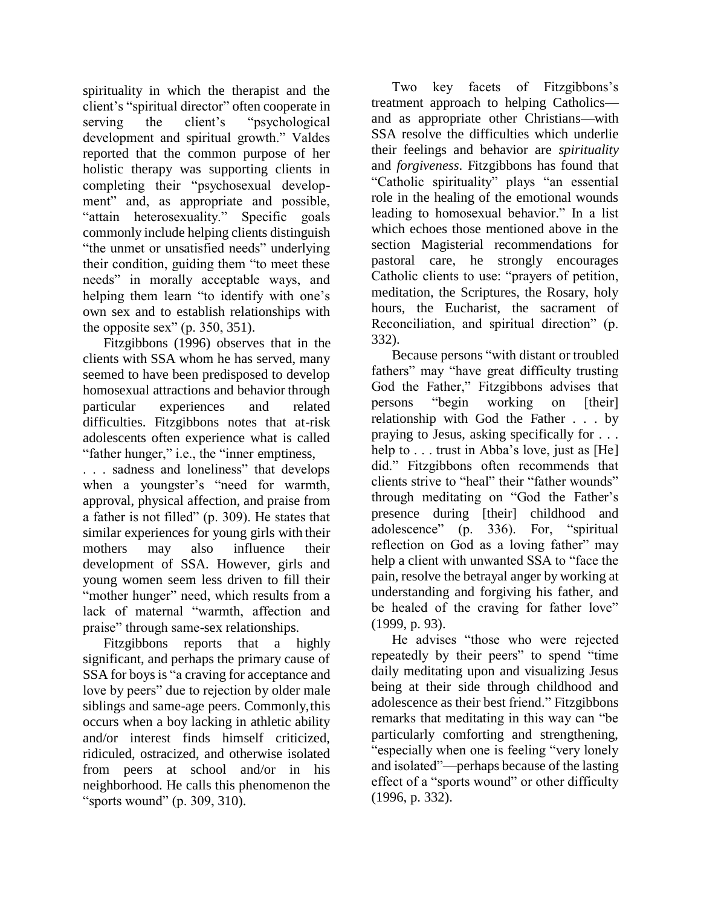spirituality in which the therapist and the client's "spiritual director" often cooperate in serving the client's "psychological development and spiritual growth." Valdes reported that the common purpose of her holistic therapy was supporting clients in completing their "psychosexual development" and, as appropriate and possible, "attain heterosexuality." Specific goals commonly include helping clients distinguish "the unmet or unsatisfied needs" underlying their condition, guiding them "to meet these needs" in morally acceptable ways, and helping them learn "to identify with one's own sex and to establish relationships with the opposite sex" (p. 350, 351).

Fitzgibbons (1996) observes that in the clients with SSA whom he has served, many seemed to have been predisposed to develop homosexual attractions and behavior through particular experiences and related difficulties. Fitzgibbons notes that at-risk adolescents often experience what is called "father hunger," i.e., the "inner emptiness,

. . . sadness and loneliness" that develops when a youngster's "need for warmth, approval, physical affection, and praise from a father is not filled" (p. 309). He states that similar experiences for young girls with their mothers may also influence their development of SSA. However, girls and young women seem less driven to fill their "mother hunger" need, which results from a lack of maternal "warmth, affection and praise" through same-sex relationships.

Fitzgibbons reports that a highly significant, and perhaps the primary cause of SSA for boys is "a craving for acceptance and love by peers" due to rejection by older male siblings and same-age peers. Commonly,this occurs when a boy lacking in athletic ability and/or interest finds himself criticized, ridiculed, ostracized, and otherwise isolated from peers at school and/or in his neighborhood. He calls this phenomenon the "sports wound" (p. 309, 310).

Two key facets of Fitzgibbons's treatment approach to helping Catholics and as appropriate other Christians—with SSA resolve the difficulties which underlie their feelings and behavior are *spirituality*  and *forgiveness*. Fitzgibbons has found that "Catholic spirituality" plays "an essential role in the healing of the emotional wounds leading to homosexual behavior." In a list which echoes those mentioned above in the section Magisterial recommendations for pastoral care, he strongly encourages Catholic clients to use: "prayers of petition, meditation, the Scriptures, the Rosary, holy hours, the Eucharist, the sacrament of Reconciliation, and spiritual direction" (p. 332).

Because persons "with distant or troubled fathers" may "have great difficulty trusting God the Father," Fitzgibbons advises that persons "begin working on [their] relationship with God the Father . . . by praying to Jesus, asking specifically for . . . help to . . . trust in Abba's love, just as [He] did." Fitzgibbons often recommends that clients strive to "heal" their "father wounds" through meditating on "God the Father's presence during [their] childhood and adolescence" (p. 336). For, "spiritual reflection on God as a loving father" may help a client with unwanted SSA to "face the pain, resolve the betrayal anger by working at understanding and forgiving his father, and be healed of the craving for father love" (1999, p. 93).

He advises "those who were rejected repeatedly by their peers" to spend "time daily meditating upon and visualizing Jesus being at their side through childhood and adolescence as their best friend." Fitzgibbons remarks that meditating in this way can "be particularly comforting and strengthening, "especially when one is feeling "very lonely and isolated"—perhaps because of the lasting effect of a "sports wound" or other difficulty (1996, p. 332).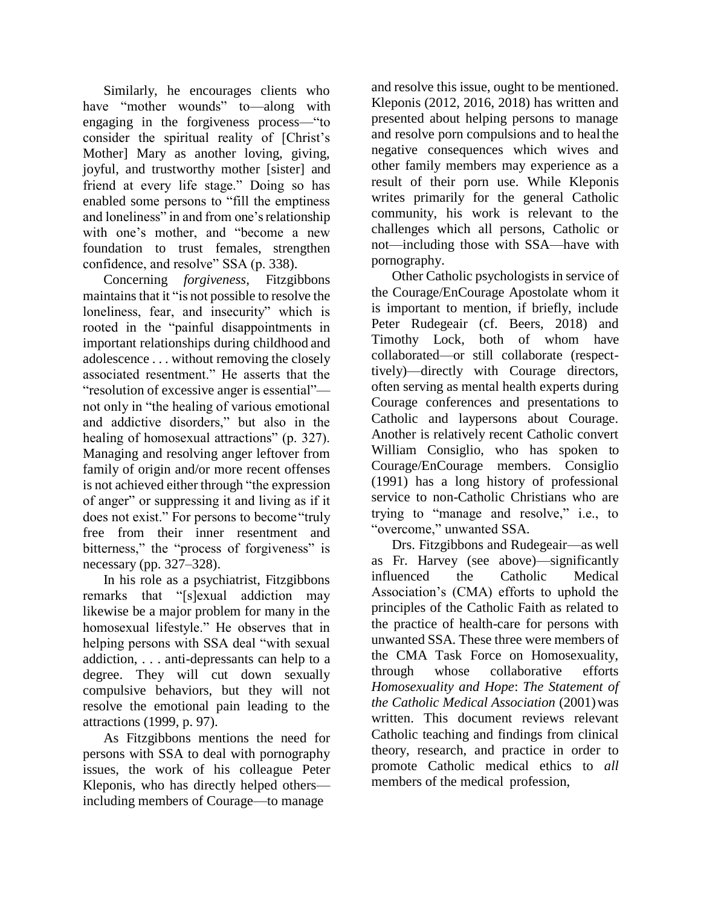Similarly, he encourages clients who have "mother wounds" to—along with engaging in the forgiveness process—"to consider the spiritual reality of [Christ's Mother] Mary as another loving, giving, joyful, and trustworthy mother [sister] and friend at every life stage." Doing so has enabled some persons to "fill the emptiness and loneliness" in and from one's relationship with one's mother, and "become a new foundation to trust females, strengthen confidence, and resolve" SSA (p. 338).

Concerning *forgiveness*, Fitzgibbons maintainsthat it "is not possible to resolve the loneliness, fear, and insecurity" which is rooted in the "painful disappointments in important relationships during childhood and adolescence . . . without removing the closely associated resentment." He asserts that the "resolution of excessive anger is essential" not only in "the healing of various emotional and addictive disorders," but also in the healing of homosexual attractions" (p. 327). Managing and resolving anger leftover from family of origin and/or more recent offenses is not achieved either through "the expression of anger" or suppressing it and living as if it does not exist." For persons to become"truly free from their inner resentment and bitterness," the "process of forgiveness" is necessary (pp. 327–328).

In his role as a psychiatrist, Fitzgibbons remarks that "[s]exual addiction may likewise be a major problem for many in the homosexual lifestyle." He observes that in helping persons with SSA deal "with sexual" addiction, . . . anti-depressants can help to a degree. They will cut down sexually compulsive behaviors, but they will not resolve the emotional pain leading to the attractions (1999, p. 97).

As Fitzgibbons mentions the need for persons with SSA to deal with pornography issues, the work of his colleague Peter Kleponis, who has directly helped others including members of Courage—to manage

and resolve this issue, ought to be mentioned. Kleponis (2012, 2016, 2018) has written and presented about helping persons to manage and resolve porn compulsions and to healthe negative consequences which wives and other family members may experience as a result of their porn use. While Kleponis writes primarily for the general Catholic community, his work is relevant to the challenges which all persons, Catholic or not—including those with SSA—have with pornography.

Other Catholic psychologists in service of the Courage/EnCourage Apostolate whom it is important to mention, if briefly, include Peter Rudegeair (cf. Beers, 2018) and Timothy Lock, both of whom have collaborated—or still collaborate (respecttively)—directly with Courage directors, often serving as mental health experts during Courage conferences and presentations to Catholic and laypersons about Courage. Another is relatively recent Catholic convert William Consiglio, who has spoken to Courage/EnCourage members. Consiglio (1991) has a long history of professional service to non-Catholic Christians who are trying to "manage and resolve," i.e., to "overcome," unwanted SSA.

Drs. Fitzgibbons and Rudegeair—as well as Fr. Harvey (see above)—significantly influenced the Catholic Medical Association's (CMA) efforts to uphold the principles of the Catholic Faith as related to the practice of health-care for persons with unwanted SSA. These three were members of the CMA Task Force on Homosexuality, through whose collaborative efforts *Homosexuality and Hope*: *The Statement of the Catholic Medical Association* (2001)was written. This document reviews relevant Catholic teaching and findings from clinical theory, research, and practice in order to promote Catholic medical ethics to *all*  members of the medical profession,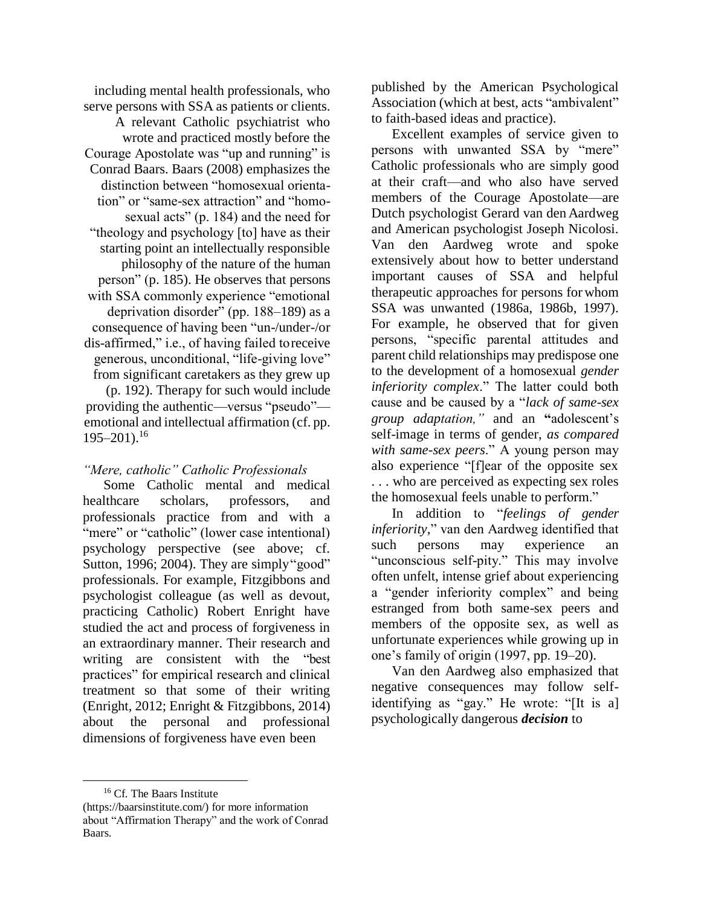including mental health professionals, who serve persons with SSA as patients or clients. A relevant Catholic psychiatrist who wrote and practiced mostly before the Courage Apostolate was "up and running" is Conrad Baars. Baars (2008) emphasizes the distinction between "homosexual orientation" or "same-sex attraction" and "homosexual acts" (p. 184) and the need for "theology and psychology [to] have as their starting point an intellectually responsible philosophy of the nature of the human person" (p. 185). He observes that persons with SSA commonly experience "emotional deprivation disorder" (pp. 188–189) as a consequence of having been "un-/under-/or dis-affirmed," i.e., of having failed toreceive generous, unconditional, "life-giving love" from significant caretakers as they grew up (p. 192). Therapy for such would include

providing the authentic—versus "pseudo" emotional and intellectual affirmation (cf. pp.  $195 - 201$ ).<sup>16</sup>

#### *"Mere, catholic" Catholic Professionals*

Some Catholic mental and medical healthcare scholars, professors, and professionals practice from and with a "mere" or "catholic" (lower case intentional) psychology perspective (see above; cf. Sutton, 1996; 2004). They are simply "good" professionals. For example, Fitzgibbons and psychologist colleague (as well as devout, practicing Catholic) Robert Enright have studied the act and process of forgiveness in an extraordinary manner. Their research and writing are consistent with the "best practices" for empirical research and clinical treatment so that some of their writing (Enright, 2012; Enright & Fitzgibbons, 2014) about the personal and professional dimensions of forgiveness have even been

published by the American Psychological Association (which at best, acts "ambivalent" to faith-based ideas and practice).

Excellent examples of service given to persons with unwanted SSA by "mere" Catholic professionals who are simply good at their craft—and who also have served members of the Courage Apostolate—are Dutch psychologist Gerard van den Aardweg and American psychologist Joseph Nicolosi. Van den Aardweg wrote and spoke extensively about how to better understand important causes of SSA and helpful therapeutic approaches for persons for whom SSA was unwanted (1986a, 1986b, 1997). For example, he observed that for given persons, "specific parental attitudes and parent child relationships may predispose one to the development of a homosexual *gender inferiority complex*." The latter could both cause and be caused by a "*lack of same-sex group adaptation,"* and an **"**adolescent's self-image in terms of gender, *as compared with same-sex peers*." A young person may also experience "[f]ear of the opposite sex . . . who are perceived as expecting sex roles the homosexual feels unable to perform."

In addition to "*feelings of gender inferiority,*" van den Aardweg identified that such persons may experience an "unconscious self-pity." This may involve often unfelt, intense grief about experiencing a "gender inferiority complex" and being estranged from both same-sex peers and members of the opposite sex, as well as unfortunate experiences while growing up in one's family of origin (1997, pp. 19–20).

Van den Aardweg also emphasized that negative consequences may follow selfidentifying as "gay." He wrote: "[It is a] psychologically dangerous *decision* to

<sup>&</sup>lt;sup>16</sup> Cf. The Baars Institute

<sup>(</sup>https://baarsinstitute.com/) for more information about "Affirmation Therapy" and the work of Conrad Baars.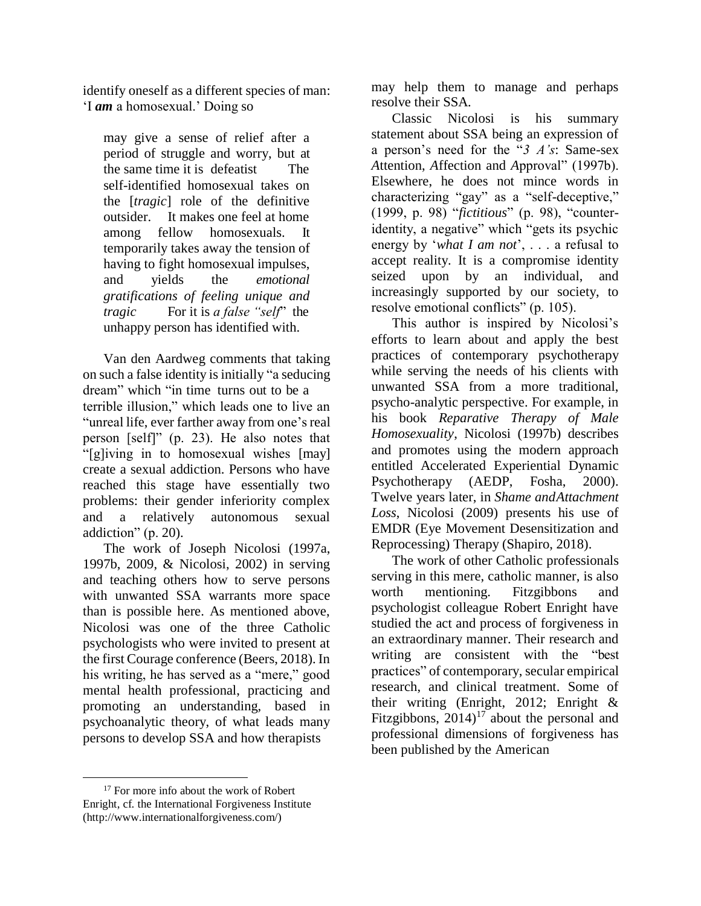identify oneself as a different species of man: 'I *am* a homosexual.' Doing so

may give a sense of relief after a period of struggle and worry, but at the same time it is defeatist The self-identified homosexual takes on the [*tragic*] role of the definitive outsider. It makes one feel at home among fellow homosexuals. It temporarily takes away the tension of having to fight homosexual impulses, and yields the *emotional gratifications of feeling unique and tragic* For it is *a false "self*" the unhappy person has identified with.

Van den Aardweg comments that taking on such a false identity isinitially "a seducing dream" which "in time turns out to be a terrible illusion," which leads one to live an "unreal life, ever farther away from one's real person [self]" (p. 23). He also notes that "[g]iving in to homosexual wishes [may] create a sexual addiction. Persons who have reached this stage have essentially two problems: their gender inferiority complex and a relatively autonomous sexual addiction" (p. 20).

The work of Joseph Nicolosi (1997a, 1997b, 2009, & Nicolosi, 2002) in serving and teaching others how to serve persons with unwanted SSA warrants more space than is possible here. As mentioned above, Nicolosi was one of the three Catholic psychologists who were invited to present at the first Courage conference (Beers, 2018). In his writing, he has served as a "mere," good mental health professional, practicing and promoting an understanding, based in psychoanalytic theory, of what leads many persons to develop SSA and how therapists

may help them to manage and perhaps resolve their SSA.

Classic Nicolosi is his summary statement about SSA being an expression of a person's need for the "*3 A's*: Same-sex *A*ttention, *A*ffection and *A*pproval" (1997b). Elsewhere, he does not mince words in characterizing "gay" as a "self-deceptive," (1999, p. 98) "*fictitious*" (p. 98), "counteridentity, a negative" which "gets its psychic energy by '*what I am not*', . . . a refusal to accept reality. It is a compromise identity seized upon by an individual, and increasingly supported by our society, to resolve emotional conflicts" (p. 105).

This author is inspired by Nicolosi's efforts to learn about and apply the best practices of contemporary psychotherapy while serving the needs of his clients with unwanted SSA from a more traditional, psycho-analytic perspective. For example, in his book *Reparative Therapy of Male Homosexuality*, Nicolosi (1997b) describes and promotes using the modern approach entitled Accelerated Experiential Dynamic Psychotherapy (AEDP, Fosha, 2000). Twelve years later, in *Shame andAttachment Loss*, Nicolosi (2009) presents his use of EMDR (Eye Movement Desensitization and Reprocessing) Therapy (Shapiro, 2018).

The work of other Catholic professionals serving in this mere, catholic manner, is also worth mentioning. Fitzgibbons and psychologist colleague Robert Enright have studied the act and process of forgiveness in an extraordinary manner. Their research and writing are consistent with the "best practices" of contemporary, secular empirical research, and clinical treatment. Some of their writing (Enright, 2012; Enright & Fitzgibbons,  $2014$ <sup>17</sup> about the personal and professional dimensions of forgiveness has been published by the American

<sup>&</sup>lt;sup>17</sup> For more info about the work of Robert Enright, cf. the International Forgiveness Institute [\(http://www.internationalforgiveness.com/\)](http://www.internationalforgiveness.com/))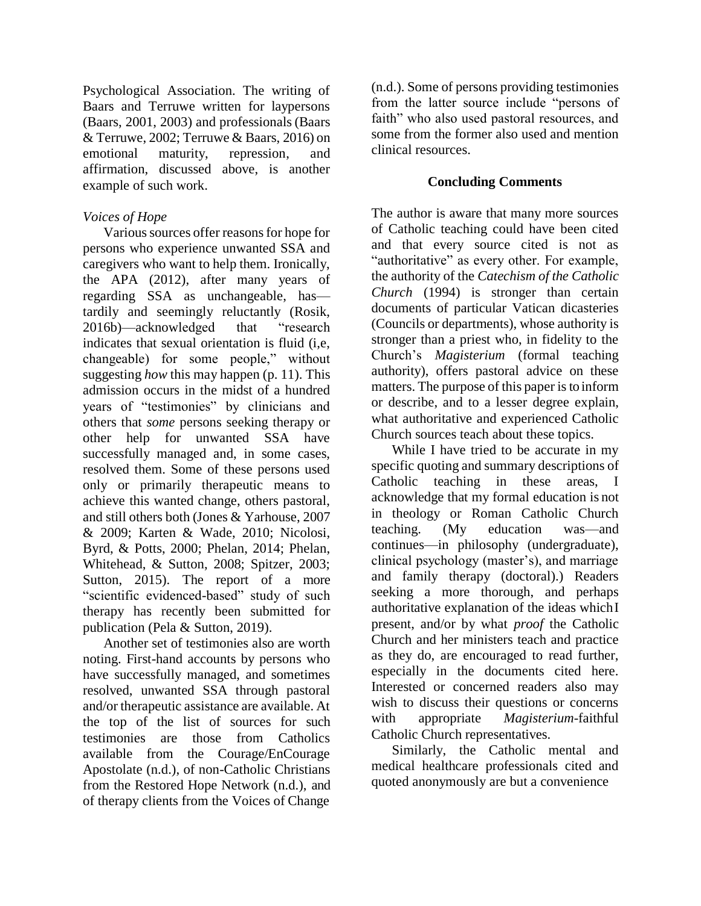Psychological Association. The writing of Baars and Terruwe written for laypersons (Baars, 2001, 2003) and professionals(Baars & Terruwe, 2002; Terruwe & Baars, 2016) on emotional maturity, repression, and affirmation, discussed above, is another example of such work.

# *Voices of Hope*

Various sources offer reasons for hope for persons who experience unwanted SSA and caregivers who want to help them. Ironically, the APA (2012), after many years of regarding SSA as unchangeable, has tardily and seemingly reluctantly (Rosik, 2016b)—acknowledged that "research indicates that sexual orientation is fluid (i,e, changeable) for some people," without suggesting *how* this may happen (p. 11). This admission occurs in the midst of a hundred years of "testimonies" by clinicians and others that *some* persons seeking therapy or other help for unwanted SSA have successfully managed and, in some cases, resolved them. Some of these persons used only or primarily therapeutic means to achieve this wanted change, others pastoral, and still others both (Jones & Yarhouse, 2007 & 2009; Karten & Wade, 2010; Nicolosi, Byrd, & Potts, 2000; Phelan, 2014; Phelan, Whitehead, & Sutton, 2008; Spitzer, 2003; Sutton, 2015). The report of a more "scientific evidenced-based" study of such therapy has recently been submitted for publication (Pela & Sutton, 2019).

Another set of testimonies also are worth noting. First-hand accounts by persons who have successfully managed, and sometimes resolved, unwanted SSA through pastoral and/or therapeutic assistance are available. At the top of the list of sources for such testimonies are those from Catholics available from the Courage/EnCourage Apostolate (n.d.), of non-Catholic Christians from the Restored Hope Network (n.d.), and of therapy clients from the Voices of Change

(n.d.). Some of persons providing testimonies from the latter source include "persons of faith" who also used pastoral resources, and some from the former also used and mention clinical resources.

# **Concluding Comments**

The author is aware that many more sources of Catholic teaching could have been cited and that every source cited is not as "authoritative" as every other. For example, the authority of the *Catechism of the Catholic Church* (1994) is stronger than certain documents of particular Vatican dicasteries (Councils or departments), whose authority is stronger than a priest who, in fidelity to the Church's *Magisterium* (formal teaching authority), offers pastoral advice on these matters. The purpose of this paper is to inform or describe, and to a lesser degree explain, what authoritative and experienced Catholic Church sources teach about these topics.

While I have tried to be accurate in my specific quoting and summary descriptions of Catholic teaching in these areas, I acknowledge that my formal education is not in theology or Roman Catholic Church teaching. (My education was—and continues—in philosophy (undergraduate), clinical psychology (master's), and marriage and family therapy (doctoral).) Readers seeking a more thorough, and perhaps authoritative explanation of the ideas whichI present, and/or by what *proof* the Catholic Church and her ministers teach and practice as they do, are encouraged to read further, especially in the documents cited here. Interested or concerned readers also may wish to discuss their questions or concerns with appropriate *Magisterium*-faithful Catholic Church representatives.

Similarly, the Catholic mental and medical healthcare professionals cited and quoted anonymously are but a convenience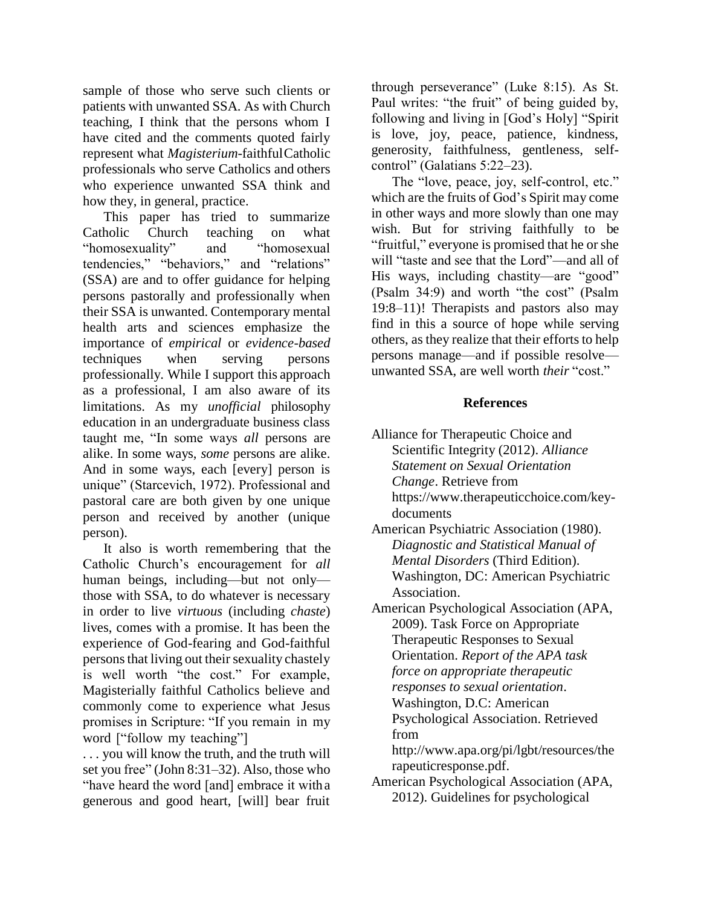sample of those who serve such clients or patients with unwanted SSA. As with Church teaching, I think that the persons whom I have cited and the comments quoted fairly represent what *Magisterium*-faithfulCatholic professionals who serve Catholics and others who experience unwanted SSA think and how they, in general, practice.

This paper has tried to summarize Catholic Church teaching on what "homosexuality" and "homosexual tendencies," "behaviors," and "relations" (SSA) are and to offer guidance for helping persons pastorally and professionally when their SSA is unwanted. Contemporary mental health arts and sciences emphasize the importance of *empirical* or *evidence-based*  techniques when serving persons professionally. While I support this approach as a professional, I am also aware of its limitations. As my *unofficial* philosophy education in an undergraduate business class taught me, "In some ways *all* persons are alike. In some ways, *some* persons are alike. And in some ways, each [every] person is unique" (Starcevich, 1972). Professional and pastoral care are both given by one unique person and received by another (unique person).

It also is worth remembering that the Catholic Church's encouragement for *all*  human beings, including—but not only those with SSA, to do whatever is necessary in order to live *virtuous* (including *chaste*) lives, comes with a promise. It has been the experience of God-fearing and God-faithful persons that living out their sexuality chastely is well worth "the cost." For example, Magisterially faithful Catholics believe and commonly come to experience what Jesus promises in Scripture: "If you remain in my word ["follow my teaching"]

. . . you will know the truth, and the truth will set you free" (John 8:31–32). Also, those who "have heard the word [and] embrace it witha generous and good heart, [will] bear fruit

through perseverance" (Luke 8:15). As St. Paul writes: "the fruit" of being guided by, following and living in [God's Holy] "Spirit is love, joy, peace, patience, kindness, generosity, faithfulness, gentleness, selfcontrol" (Galatians 5:22–23).

The "love, peace, joy, self-control, etc." which are the fruits of God's Spirit may come in other ways and more slowly than one may wish. But for striving faithfully to be "fruitful," everyone is promised that he orshe will "taste and see that the Lord"—and all of His ways, including chastity—are "good" (Psalm 34:9) and worth "the cost" (Psalm 19:8–11)! Therapists and pastors also may find in this a source of hope while serving others, as they realize that their efforts to help persons manage—and if possible resolve unwanted SSA, are well worth *their* "cost."

#### **References**

- Alliance for Therapeutic Choice and Scientific Integrity (2012). *Alliance Statement on Sexual Orientation Change*. Retrieve from https:/[/www.therapeuticchoice.com/key](http://www.therapeuticchoice.com/key-)documents
- American Psychiatric Association (1980). *Diagnostic and Statistical Manual of Mental Disorders* (Third Edition). Washington, DC: American Psychiatric Association.
- American Psychological Association (APA, 2009). Task Force on Appropriate Therapeutic Responses to Sexual Orientation. *Report of the APA task force on appropriate therapeutic responses to sexual orientation*. Washington, D.C: American Psychological Association. Retrieved from

<http://www.apa.org/pi/lgbt/resources/the> rapeuticresponse.pdf.

American Psychological Association (APA, 2012). Guidelines for psychological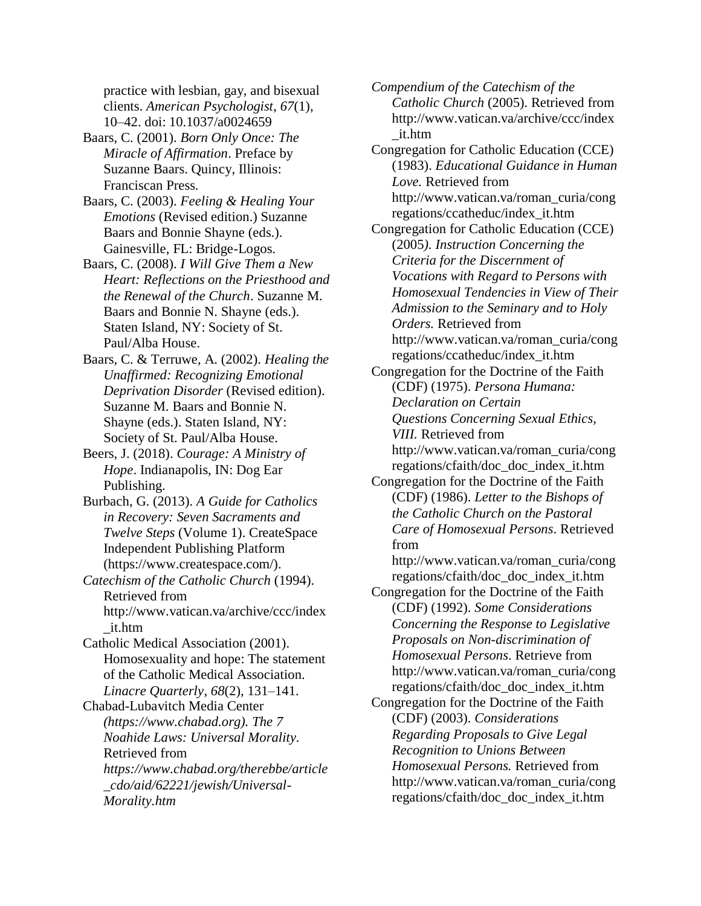practice with lesbian, gay, and bisexual clients. *American Psychologist*, *67*(1), 10–42. doi: 10.1037/a0024659

- Baars, C. (2001). *Born Only Once: The Miracle of Affirmation*. Preface by Suzanne Baars. Quincy, Illinois: Franciscan Press.
- Baars, C. (2003). *Feeling & Healing Your Emotions* (Revised edition.) Suzanne Baars and Bonnie Shayne (eds.). Gainesville, FL: Bridge-Logos.
- Baars, C. (2008). *I Will Give Them a New Heart: Reflections on the Priesthood and the Renewal of the Church*. Suzanne M. Baars and Bonnie N. Shayne (eds.). Staten Island, NY: Society of St. Paul/Alba House.
- Baars, C. & Terruwe, A. (2002). *Healing the Unaffirmed: Recognizing Emotional Deprivation Disorder* (Revised edition). Suzanne M. Baars and Bonnie N. Shayne (eds.). Staten Island, NY: Society of St. Paul/Alba House.
- Beers, J. (2018). *Courage: A Ministry of Hope*. Indianapolis, IN: Dog Ear Publishing.
- Burbach, G. (2013). *A Guide for Catholics in Recovery: Seven Sacraments and Twelve Steps* (Volume 1). CreateSpace Independent Publishing Platform (https:/[/www.createspace.com/\).](http://www.createspace.com/))
- *Catechism of the Catholic Church* (1994). Retrieved from <http://www.vatican.va/archive/ccc/index> \_it.htm
- Catholic Medical Association (2001). Homosexuality and hope: The statement of the Catholic Medical Association. *Linacre Quarterly*, *68*(2), 131–141.

Chabad-Lubavitch Media Center *(https://www.chabad.org). The 7 Noahide Laws: Universal Morality.*  Retrieved from *https:/[/www.chabad.org/therebbe/article](http://www.chabad.org/therebbe/article) \_cdo/aid/62221/jewish/Universal-Morality.htm*

*Compendium of the Catechism of the Catholic Church* (2005). Retrieved from <http://www.vatican.va/archive/ccc/index> \_it.htm

Congregation for Catholic Education (CCE) (1983). *Educational Guidance in Human Love.* Retrieved from [http://www.vatican.va/roman\\_curia/cong](http://www.vatican.va/roman_curia/cong) regations/ccatheduc/index\_it.htm

- Congregation for Catholic Education (CCE) (2005*). Instruction Concerning the Criteria for the Discernment of Vocations with Regard to Persons with Homosexual Tendencies in View of Their Admission to the Seminary and to Holy Orders.* Retrieved from [http://www.vatican.va/roman\\_curia/cong](http://www.vatican.va/roman_curia/cong) regations/ccatheduc/index\_it.htm
- Congregation for the Doctrine of the Faith (CDF) (1975). *Persona Humana: Declaration on Certain Questions Concerning Sexual Ethics, VIII.* Retrieved from [http://www.vatican.va/roman\\_curia/cong](http://www.vatican.va/roman_curia/cong) regations/cfaith/doc\_doc\_index\_it.htm
- Congregation for the Doctrine of the Faith (CDF) (1986). *Letter to the Bishops of the Catholic Church on the Pastoral Care of Homosexual Persons*. Retrieved from
	- [http://www.vatican.va/roman\\_curia/cong](http://www.vatican.va/roman_curia/cong) regations/cfaith/doc\_doc\_index\_it.htm
- Congregation for the Doctrine of the Faith (CDF) (1992). *Some Considerations Concerning the Response to Legislative Proposals on Non-discrimination of Homosexual Persons*. Retrieve from [http://www.vatican.va/roman\\_curia/cong](http://www.vatican.va/roman_curia/cong) regations/cfaith/doc\_doc\_index\_it.htm
- Congregation for the Doctrine of the Faith (CDF) (2003). *Considerations Regarding Proposals to Give Legal Recognition to Unions Between Homosexual Persons.* Retrieved from [http://www.vatican.va/roman\\_curia/cong](http://www.vatican.va/roman_curia/cong) regations/cfaith/doc\_doc\_index\_it.htm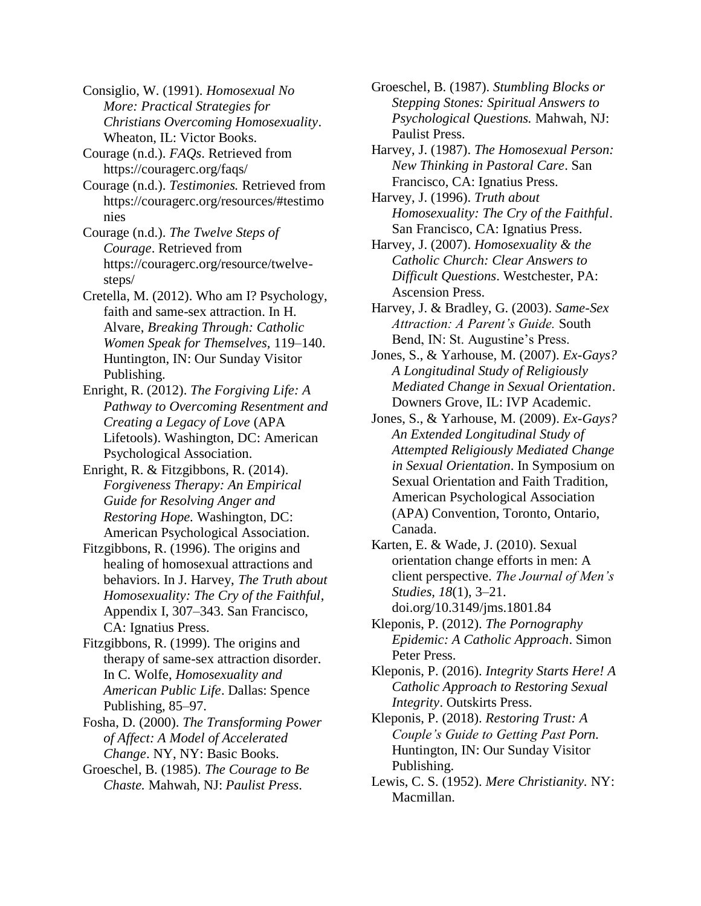Consiglio, W. (1991). *Homosexual No More: Practical Strategies for Christians Overcoming Homosexuality*. Wheaton, IL: Victor Books.

Courage (n.d.). *FAQs*. Retrieved from https://couragerc.org/faqs/

Courage (n.d.). *Testimonies.* Retrieved from https://couragerc.org/resources/#testimo nies

Courage (n.d.). *The Twelve Steps of Courage*. Retrieved from https://couragerc.org/resource/twelvesteps/

Cretella, M. (2012). Who am I? Psychology, faith and same-sex attraction. In H. Alvare, *Breaking Through: Catholic Women Speak for Themselves,* 119–140. Huntington, IN: Our Sunday Visitor Publishing.

Enright, R. (2012). *The Forgiving Life: A Pathway to Overcoming Resentment and Creating a Legacy of Love* (APA Lifetools). Washington, DC: American Psychological Association.

- Enright, R. & Fitzgibbons, R. (2014). *Forgiveness Therapy: An Empirical Guide for Resolving Anger and Restoring Hope.* Washington, DC: American Psychological Association.
- Fitzgibbons, R. (1996). The origins and healing of homosexual attractions and behaviors. In J. Harvey, *The Truth about Homosexuality: The Cry of the Faithful*, Appendix I, 307–343. San Francisco, CA: Ignatius Press.

Fitzgibbons, R. (1999). The origins and therapy of same-sex attraction disorder. In C. Wolfe, *Homosexuality and American Public Life*. Dallas: Spence Publishing, 85–97.

Fosha, D. (2000). *The Transforming Power of Affect: A Model of Accelerated Change*. NY, NY: Basic Books.

Groeschel, B. (1985). *The Courage to Be Chaste.* Mahwah, NJ: *Paulist Press*.

Groeschel, B. (1987). *Stumbling Blocks or Stepping Stones: Spiritual Answers to Psychological Questions.* Mahwah, NJ: Paulist Press.

Harvey, J. (1987). *The Homosexual Person: New Thinking in Pastoral Care*. San Francisco, CA: Ignatius Press.

Harvey, J. (1996). *Truth about Homosexuality: The Cry of the Faithful*. San Francisco, CA: Ignatius Press.

Harvey, J. (2007). *Homosexuality & the Catholic Church: Clear Answers to Difficult Questions*. Westchester, PA: Ascension Press.

Harvey, J. & Bradley, G. (2003). *Same-Sex Attraction: A Parent's Guide.* South Bend, IN: St. Augustine's Press.

Jones, S., & Yarhouse, M. (2007). *Ex-Gays? A Longitudinal Study of Religiously Mediated Change in Sexual Orientation*. Downers Grove, IL: IVP Academic.

Jones, S., & Yarhouse, M. (2009). *Ex-Gays? An Extended Longitudinal Study of Attempted Religiously Mediated Change in Sexual Orientation*. In Symposium on Sexual Orientation and Faith Tradition, American Psychological Association (APA) Convention, Toronto, Ontario, Canada.

Karten, E. & Wade, J. (2010). Sexual orientation change efforts in men: A client perspective. *The Journal of Men's Studies, 18*(1), 3–21. doi.org/10.3149/jms.1801.84

Kleponis, P. (2012). *The Pornography Epidemic: A Catholic Approach*. Simon Peter Press.

Kleponis, P. (2016). *Integrity Starts Here! A Catholic Approach to Restoring Sexual Integrity*. Outskirts Press.

Kleponis, P. (2018). *Restoring Trust: A Couple's Guide to Getting Past Porn*. Huntington, IN: Our Sunday Visitor Publishing.

Lewis, C. S. (1952). *Mere Christianity.* NY: Macmillan.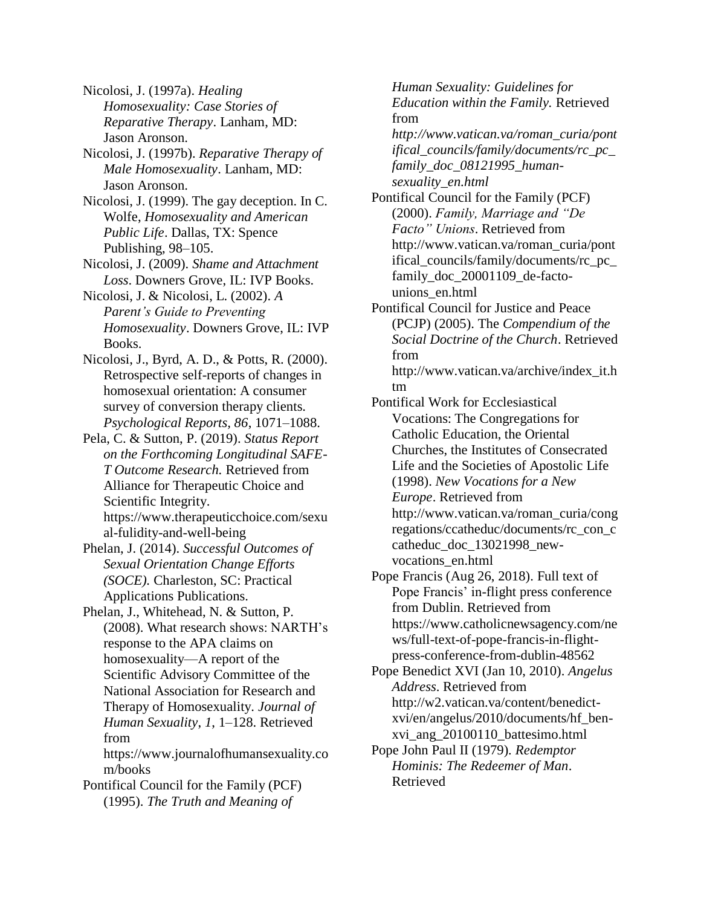Nicolosi, J. (1997a). *Healing Homosexuality: Case Stories of Reparative Therapy*. Lanham, MD: Jason Aronson.

Nicolosi, J. (1997b). *Reparative Therapy of Male Homosexuality*. Lanham, MD: Jason Aronson.

Nicolosi, J. (1999). The gay deception. In C. Wolfe, *Homosexuality and American Public Life*. Dallas, TX: Spence Publishing, 98–105.

Nicolosi, J. (2009). *Shame and Attachment Loss*. Downers Grove, IL: IVP Books.

Nicolosi, J. & Nicolosi, L. (2002). *A Parent's Guide to Preventing Homosexuality*. Downers Grove, IL: IVP Books.

Nicolosi, J., Byrd, A. D., & Potts, R. (2000). Retrospective self-reports of changes in homosexual orientation: A consumer survey of conversion therapy clients. *Psychological Reports, 86*, 1071–1088.

Pela, C. & Sutton, P. (2019). *Status Report on the Forthcoming Longitudinal SAFE-T Outcome Research.* Retrieved from Alliance for Therapeutic Choice and Scientific Integrity. https:/[/www.therapeuticchoice.com/sexu](http://www.therapeuticchoice.com/sexu) al-fulidity-and-well-being

Phelan, J. (2014). *Successful Outcomes of Sexual Orientation Change Efforts (SOCE).* Charleston, SC: Practical Applications Publications.

Phelan, J., Whitehead, N. & Sutton, P. (2008). What research shows: NARTH's response to the APA claims on homosexuality—A report of the Scientific Advisory Committee of the National Association for Research and Therapy of Homosexuality. *Journal of Human Sexuality*, *1*, 1–128. Retrieved from https:/[/www.journalofhumansexuality.co](http://www.journalofhumansexuality.co/)

m/books Pontifical Council for the Family (PCF) (1995). *The Truth and Meaning of*

*Human Sexuality: Guidelines for Education within the Family.* Retrieved from *[http://www.vatican.va/roman\\_curia/pont](http://www.vatican.va/roman_curia/pont) ifical\_councils/family/documents/rc\_pc\_ family\_doc\_08121995\_humansexuality\_en.html* Pontifical Council for the Family (PCF) (2000). *Family, Marriage and "De Facto" Unions*. Retrieved from [http://www.vatican.va/roman\\_curia/pont](http://www.vatican.va/roman_curia/pont) ifical\_councils/family/documents/rc\_pc\_ family\_doc\_20001109\_de-factounions\_en.html Pontifical Council for Justice and Peace (PCJP) (2005). The *Compendium of the Social Doctrine of the Church*. Retrieved from [http://www.vatican.va/archive/index\\_it.h](http://www.vatican.va/archive/index_it.h) tm Pontifical Work for Ecclesiastical Vocations: The Congregations for Catholic Education, the Oriental Churches, the Institutes of Consecrated

Life and the Societies of Apostolic Life (1998). *New Vocations for a New Europe*. Retrieved from [http://www.vatican.va/roman\\_curia/cong](http://www.vatican.va/roman_curia/cong) regations/ccatheduc/documents/rc\_con\_c catheduc\_doc\_13021998\_newvocations\_en.html

Pope Francis (Aug 26, 2018). Full text of Pope Francis' in-flight press conference from Dublin. Retrieved from https:/[/www.catholicnewsagency.com/ne](http://www.catholicnewsagency.com/ne) ws/full-text-of-pope-francis-in-flightpress-conference-from-dublin-48562

Pope Benedict XVI (Jan 10, 2010). *Angelus Address*. Retrieved from [http://w2.vatican.va/content/benedict](http://w2.vatican.va/content/benedict-)xvi/en/angelus/2010/documents/hf\_benxvi\_ang\_20100110\_battesimo.html

Pope John Paul II (1979)*. Redemptor Hominis: The Redeemer of Man*. Retrieved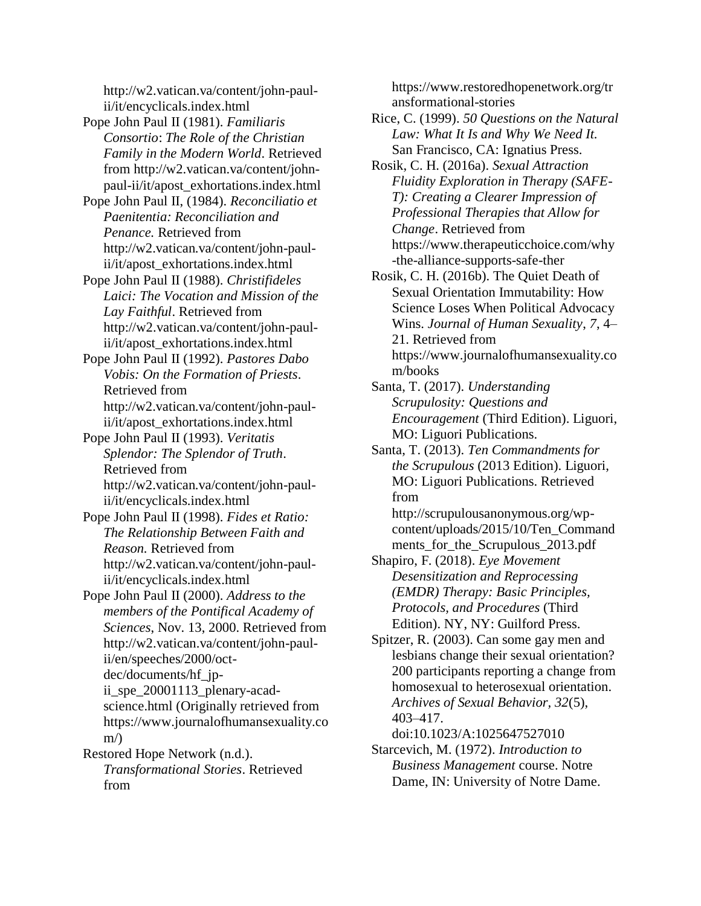[http://w2.vatican.va/content/john-paul](http://w2.vatican.va/content/john-paul-)ii/it/encyclicals.index.html

- Pope John Paul II (1981). *Familiaris Consortio*: *The Role of the Christian Family in the Modern World*. Retrieved from [http://w2.vatican.va/content/john](http://w2.vatican.va/content/john-)paul-ii/it/apost\_exhortations.index.html
- Pope John Paul II, (1984). *Reconciliatio et Paenitentia: Reconciliation and Penance.* Retrieved from [http://w2.vatican.va/content/john-paul](http://w2.vatican.va/content/john-paul-)ii/it/apost\_exhortations.index.html
- Pope John Paul II (1988). *Christifideles Laici: The Vocation and Mission of the Lay Faithful*. Retrieved from [http://w2.vatican.va/content/john-paul](http://w2.vatican.va/content/john-paul-)ii/it/apost\_exhortations.index.html
- Pope John Paul II (1992). *Pastores Dabo Vobis: On the Formation of Priests*. Retrieved from [http://w2.vatican.va/content/john-paul](http://w2.vatican.va/content/john-paul-)ii/it/apost\_exhortations.index.html
- Pope John Paul II (1993). *Veritatis Splendor: The Splendor of Truth*. Retrieved from [http://w2.vatican.va/content/john-paul](http://w2.vatican.va/content/john-paul-)ii/it/encyclicals.index.html
- Pope John Paul II (1998). *Fides et Ratio: The Relationship Between Faith and Reason.* Retrieved from [http://w2.vatican.va/content/john-paul](http://w2.vatican.va/content/john-paul-)ii/it/encyclicals.index.html
- Pope John Paul II (2000). *Address to the members of the Pontifical Academy of Sciences*, Nov. 13, 2000. Retrieved from [http://w2.vatican.va/content/john-paul](http://w2.vatican.va/content/john-paul-)ii/en/speeches/2000/octdec/documents/hf\_jpii\_spe\_20001113\_plenary-acadscience.html (Originally retrieved from https:/[/www.journalofhumansexuality.co](http://www.journalofhumansexuality.co/)  $m/\lambda$
- Restored Hope Network (n.d.). *Transformational Stories*. Retrieved from

https:/[/www.restoredhopenetwork.org/tr](http://www.restoredhopenetwork.org/tr) ansformational-stories

- Rice, C. (1999). *50 Questions on the Natural Law: What It Is and Why We Need It.* San Francisco, CA: Ignatius Press.
- Rosik, C. H. (2016a). *Sexual Attraction Fluidity Exploration in Therapy (SAFE-T): Creating a Clearer Impression of Professional Therapies that Allow for Change*. Retrieved from https:/[/www.therapeuticchoice.com/why](http://www.therapeuticchoice.com/why) -the-alliance-supports-safe-ther
- Rosik, C. H. (2016b). The Quiet Death of Sexual Orientation Immutability: How Science Loses When Political Advocacy Wins. *Journal of Human Sexuality*, *7*, 4– 21. Retrieved from https:/[/www.journalofhumansexuality.co](http://www.journalofhumansexuality.co/) m/books
- Santa, T. (2017). *Understanding Scrupulosity: Questions and Encouragement* (Third Edition). Liguori, MO: Liguori Publications.
- Santa, T. (2013). *Ten Commandments for the Scrupulous* (2013 Edition). Liguori, MO: Liguori Publications. Retrieved from
	- [http://scrupulousanonymous.org/wp](http://scrupulousanonymous.org/wp-)content/uploads/2015/10/Ten\_Command ments\_for\_the\_Scrupulous\_2013.pdf
- Shapiro, F. (2018). *Eye Movement Desensitization and Reprocessing (EMDR) Therapy: Basic Principles, Protocols, and Procedures* (Third Edition). NY, NY: Guilford Press.
- Spitzer, R. (2003). Can some gay men and lesbians change their sexual orientation? 200 participants reporting a change from homosexual to heterosexual orientation. *Archives of Sexual Behavior, 32*(5), 403–417.
- doi:10.1023/A:1025647527010 Starcevich, M. (1972). *Introduction to Business Management* course. Notre
	- Dame, IN: University of Notre Dame.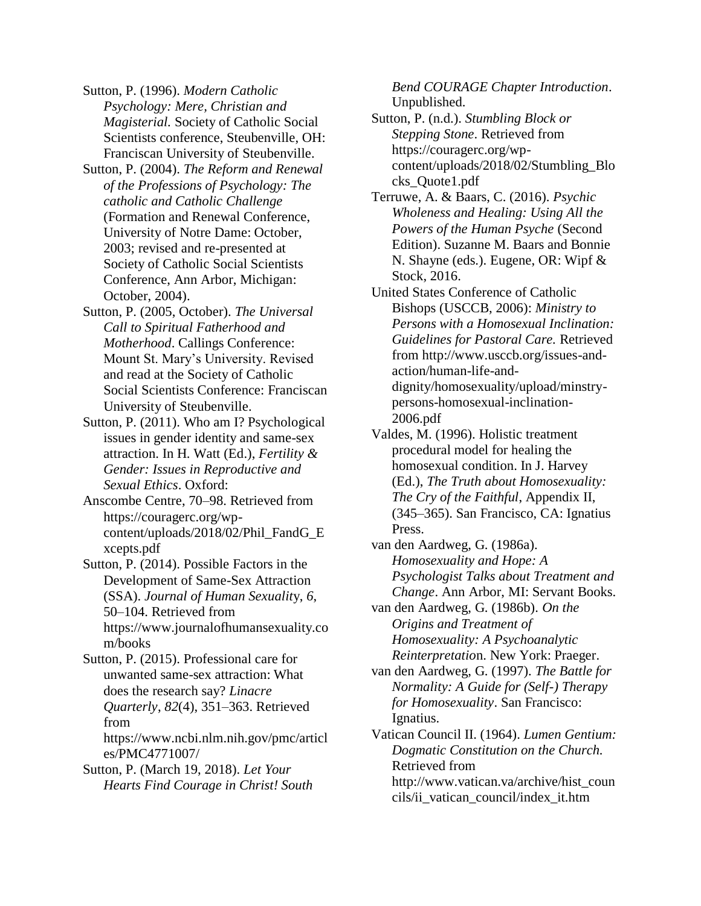Sutton, P. (1996). *Modern Catholic Psychology: Mere, Christian and Magisterial.* Society of Catholic Social Scientists conference, Steubenville, OH: Franciscan University of Steubenville.

- Sutton, P. (2004). *The Reform and Renewal of the Professions of Psychology: The catholic and Catholic Challenge*  (Formation and Renewal Conference, University of Notre Dame: October, 2003; revised and re-presented at Society of Catholic Social Scientists Conference, Ann Arbor, Michigan: October, 2004).
- Sutton, P. (2005, October). *The Universal Call to Spiritual Fatherhood and Motherhood*. Callings Conference: Mount St. Mary's University. Revised and read at the Society of Catholic Social Scientists Conference: Franciscan University of Steubenville.
- Sutton, P. (2011). Who am I? Psychological issues in gender identity and same-sex attraction. In H. Watt (Ed.), *Fertility & Gender: Issues in Reproductive and Sexual Ethics*. Oxford:

Anscombe Centre, 70–98. Retrieved from https://couragerc.org/wpcontent/uploads/2018/02/Phil\_FandG\_E xcepts.pdf

Sutton, P. (2014). Possible Factors in the Development of Same-Sex Attraction (SSA). *Journal of Human Sexualit*y, *6*, 50–104. Retrieved from https:/[/www.journalofhumansexuality.co](http://www.journalofhumansexuality.co/) m/books

Sutton, P. (2015). Professional care for unwanted same-sex attraction: What does the research say? *Linacre Quarterly*, *82*(4), 351–363. Retrieved from https:/[/www.ncbi.nlm.nih.gov/pmc/articl](http://www.ncbi.nlm.nih.gov/pmc/articl)

es/PMC4771007/

Sutton, P. (March 19, 2018). *Let Your Hearts Find Courage in Christ! South* *Bend COURAGE Chapter Introduction*. Unpublished.

Sutton, P. (n.d.). *Stumbling Block or Stepping Stone*. Retrieved from https://couragerc.org/wpcontent/uploads/2018/02/Stumbling\_Blo cks\_Quote1.pdf

Terruwe, A. & Baars, C. (2016). *Psychic Wholeness and Healing: Using All the Powers of the Human Psyche* (Second Edition). Suzanne M. Baars and Bonnie N. Shayne (eds.). Eugene, OR: Wipf & Stock, 2016.

United States Conference of Catholic Bishops (USCCB, 2006): *Ministry to Persons with a Homosexual Inclination: Guidelines for Pastoral Care.* Retrieved from [http://www.usccb.org/issues-and](http://www.usccb.org/issues-and-)action/human-life-anddignity/homosexuality/upload/minstrypersons-homosexual-inclination-2006.pdf

Valdes, M. (1996). Holistic treatment procedural model for healing the homosexual condition. In J. Harvey (Ed.), *The Truth about Homosexuality: The Cry of the Faithful*, Appendix II, (345–365). San Francisco, CA: Ignatius Press.

van den Aardweg, G. (1986a). *Homosexuality and Hope: A Psychologist Talks about Treatment and Change*. Ann Arbor, MI: Servant Books.

van den Aardweg, G. (1986b). *On the Origins and Treatment of Homosexuality: A Psychoanalytic Reinterpretatio*n. New York: Praeger.

van den Aardweg, G. (1997). *The Battle for Normality: A Guide for (Self-) Therapy for Homosexuality*. San Francisco: Ignatius.

Vatican Council II. (1964). *Lumen Gentium: Dogmatic Constitution on the Church.* Retrieved from [http://www.vatican.va/archive/hist\\_coun](http://www.vatican.va/archive/hist_coun) cils/ii\_vatican\_council/index\_it.htm